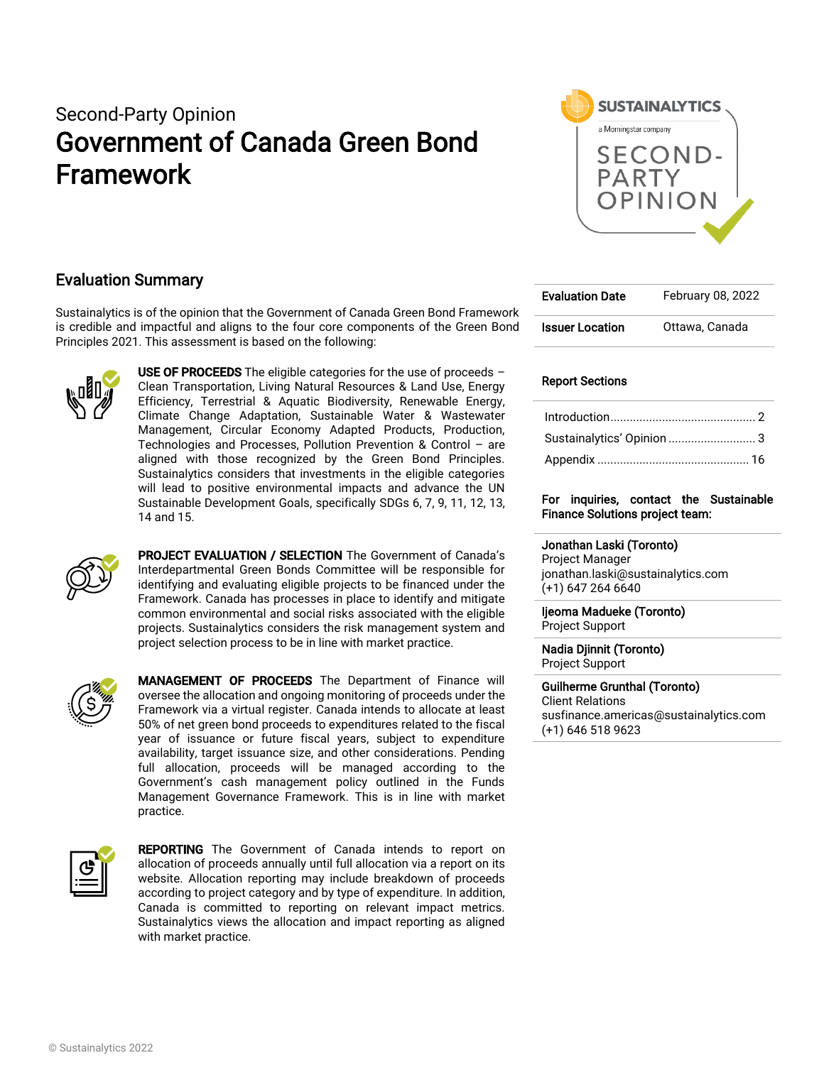# Second-Party Opinion Government of Canada Green Bond Framework



# Evaluation Summary

Sustainalytics is of the opinion that the Government of Canada Green Bond Framework is credible and impactful and aligns to the four core components of the Green Bond Principles 2021. This assessment is based on the following:



USE OF PROCEEDS The eligible categories for the use of proceeds  $-$ Clean Transportation, Living Natural Resources & Land Use, Energy Efficiency, Terrestrial & Aquatic Biodiversity, Renewable Energy, Climate Change Adaptation, Sustainable Water & Wastewater Management, Circular Economy Adapted Products, Production, Technologies and Processes, Pollution Prevention & Control – are aligned with those recognized by the Green Bond Principles. Sustainalytics considers that investments in the eligible categories will lead to positive environmental impacts and advance the UN Sustainable Development Goals, specifically SDGs 6, 7, 9, 11, 12, 13, 14 and 15.



PROJECT EVALUATION / SELECTION The Government of Canada's Interdepartmental Green Bonds Committee will be responsible for identifying and evaluating eligible projects to be financed under the Framework. Canada has processes in place to identify and mitigate common environmental and social risks associated with the eligible projects. Sustainalytics considers the risk management system and project selection process to be in line with market practice.



MANAGEMENT OF PROCEEDS The Department of Finance will oversee the allocation and ongoing monitoring of proceeds under the Framework via a virtual register. Canada intends to allocate at least 50% of net green bond proceeds to expenditures related to the fiscal year of issuance or future fiscal years, subject to expenditure availability, target issuance size, and other considerations. Pending full allocation, proceeds will be managed according to the Government's cash management policy outlined in the Funds Management Governance Framework. This is in line with market practice.



REPORTING The Government of Canada intends to report on allocation of proceeds annually until full allocation via a report on its website. Allocation reporting may include breakdown of proceeds according to project category and by type of expenditure. In addition, Canada is committed to reporting on relevant impact metrics. Sustainalytics views the allocation and impact reporting as aligned with market practice.

| <b>Evaluation Date</b> | February 08, 2022 |
|------------------------|-------------------|
| <b>Issuer Location</b> | Ottawa, Canada    |

## Report Sections

| Sustainalytics' Opinion  3 |  |
|----------------------------|--|
|                            |  |

## For inquiries, contact the Sustainable Finance Solutions project team:

Jonathan Laski (Toronto) Project Manager jonathan.laski@sustainalytics.com (+1) 647 264 6640

Ijeoma Madueke (Toronto) Project Support

Nadia Djinnit (Toronto) Project Support

Guilherme Grunthal (Toronto) Client Relations susfinance.americas@sustainalytics.com (+1) 646 518 9623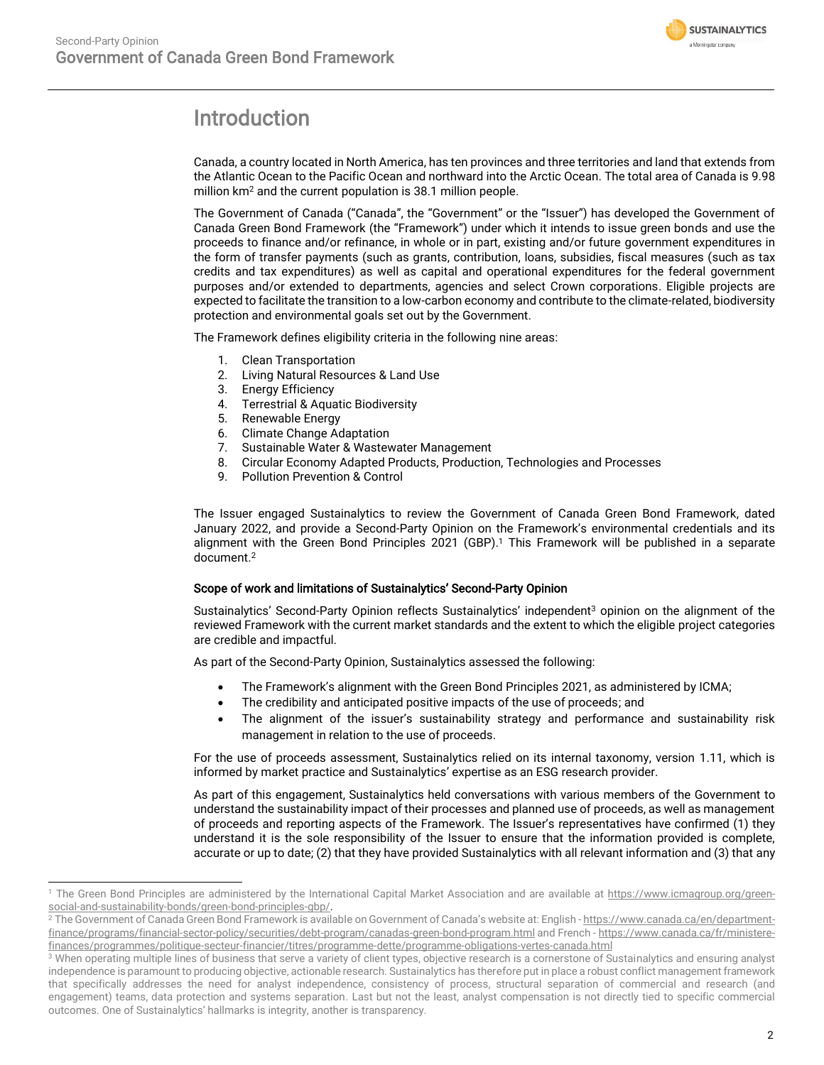

# <span id="page-1-0"></span>Introduction

Canada, a country located in North America, has ten provinces and three territories and land that extends from the Atlantic Ocean to the Pacific Ocean and northward into the Arctic Ocean. The total area of Canada is 9.98 million km<sup>2</sup> and the current population is 38.1 million people.

The Government of Canada ("Canada", the "Government" or the "Issuer") has developed the Government of Canada Green Bond Framework (the "Framework") under which it intends to issue green bonds and use the proceeds to finance and/or refinance, in whole or in part, existing and/or future government expenditures in the form of transfer payments (such as grants, contribution, loans, subsidies, fiscal measures (such as tax credits and tax expenditures) as well as capital and operational expenditures for the federal government purposes and/or extended to departments, agencies and select Crown corporations. Eligible projects are expected to facilitate the transition to a low-carbon economy and contribute to the climate-related, biodiversity protection and environmental goals set out by the Government.

The Framework defines eligibility criteria in the following nine areas:

- 1. Clean Transportation
- 2. Living Natural Resources & Land Use
- 3. Energy Efficiency
- 4. Terrestrial & Aquatic Biodiversity
- 5. Renewable Energy
- 6. Climate Change Adaptation
- 7. Sustainable Water & Wastewater Management
- 8. Circular Economy Adapted Products, Production, Technologies and Processes
- 9. Pollution Prevention & Control

The Issuer engaged Sustainalytics to review the Government of Canada Green Bond Framework, dated January 2022, and provide a Second-Party Opinion on the Framework's environmental credentials and its alignment with the Green Bond Principles 2021 (GBP). <sup>1</sup> This Framework will be published in a separate document. 2

### Scope of work and limitations of Sustainalytics' Second-Party Opinion

Sustainalytics' Second-Party Opinion reflects Sustainalytics' independent<sup>3</sup> opinion on the alignment of the reviewed Framework with the current market standards and the extent to which the eligible project categories are credible and impactful.

As part of the Second-Party Opinion, Sustainalytics assessed the following:

- The Framework's alignment with the Green Bond Principles 2021, as administered by ICMA;
- The credibility and anticipated positive impacts of the use of proceeds; and
- The alignment of the issuer's sustainability strategy and performance and sustainability risk management in relation to the use of proceeds.

For the use of proceeds assessment, Sustainalytics relied on its internal taxonomy, version 1.11, which is informed by market practice and Sustainalytics' expertise as an ESG research provider.

As part of this engagement, Sustainalytics held conversations with various members of the Government to understand the sustainability impact of their processes and planned use of proceeds, as well as management of proceeds and reporting aspects of the Framework. The Issuer's representatives have confirmed (1) they understand it is the sole responsibility of the Issuer to ensure that the information provided is complete, accurate or up to date; (2) that they have provided Sustainalytics with all relevant information and (3) that any

<sup>&</sup>lt;sup>1</sup> The Green Bond Principles are administered by the International Capital Market Association and are available at [https://www.icmagroup.org/green](https://www.icmagroup.org/green-social-and-sustainability-bonds/green-bond-principles-gbp/)[social-and-sustainability-bonds/green-bond-principles-gbp/.](https://www.icmagroup.org/green-social-and-sustainability-bonds/green-bond-principles-gbp/)

<sup>&</sup>lt;sup>2</sup> The Government of Canada Green Bond Framework is available on Government of Canada's website at: English - [https://www.canada.ca/en/department](https://www.canada.ca/en/department-finance/programs/financial-sector-policy/securities/debt-program/canadas-green-bond-program.html)[finance/programs/financial-sector-policy/securities/debt-program/canadas-green-bond-program.html](https://www.canada.ca/en/department-finance/programs/financial-sector-policy/securities/debt-program/canadas-green-bond-program.html) and French - [https://www.canada.ca/fr/ministere](https://can01.safelinks.protection.outlook.com/?url=https%3A%2F%2Fwww.canada.ca%2Ffr%2Fministere-finances%2Fprogrammes%2Fpolitique-secteur-financier%2Ftitres%2Fprogramme-dette%2Fprogramme-obligations-vertes-canada.html&data=04%7C01%7Cgregory.smith%40fin.gc.ca%7C1c967a5d34ae4b514f6208d9db603826%7Cc8d186b6faab43fb98c018a0dfa65ac1%7C0%7C0%7C637782028562210619%7CUnknown%7CTWFpbGZsb3d8eyJWIjoiMC4wLjAwMDAiLCJQIjoiV2luMzIiLCJBTiI6Ik1haWwiLCJXVCI6Mn0%3D%7C3000&sdata=YBjWwCWm4I259ZArbZQC9ghY03UEFRuPQxmipJrQ9iU%3D&reserved=0)[finances/programmes/politique-secteur-financier/titres/programme-dette/programme-obligations-vertes-canada.html](https://can01.safelinks.protection.outlook.com/?url=https%3A%2F%2Fwww.canada.ca%2Ffr%2Fministere-finances%2Fprogrammes%2Fpolitique-secteur-financier%2Ftitres%2Fprogramme-dette%2Fprogramme-obligations-vertes-canada.html&data=04%7C01%7Cgregory.smith%40fin.gc.ca%7C1c967a5d34ae4b514f6208d9db603826%7Cc8d186b6faab43fb98c018a0dfa65ac1%7C0%7C0%7C637782028562210619%7CUnknown%7CTWFpbGZsb3d8eyJWIjoiMC4wLjAwMDAiLCJQIjoiV2luMzIiLCJBTiI6Ik1haWwiLCJXVCI6Mn0%3D%7C3000&sdata=YBjWwCWm4I259ZArbZQC9ghY03UEFRuPQxmipJrQ9iU%3D&reserved=0)

<sup>&</sup>lt;sup>3</sup> When operating multiple lines of business that serve a variety of client types, objective research is a cornerstone of Sustainalytics and ensuring analyst independence is paramount to producing objective, actionable research. Sustainalytics has therefore put in place a robust conflict management framework that specifically addresses the need for analyst independence, consistency of process, structural separation of commercial and research (and engagement) teams, data protection and systems separation. Last but not the least, analyst compensation is not directly tied to specific commercial outcomes. One of Sustainalytics' hallmarks is integrity, another is transparency.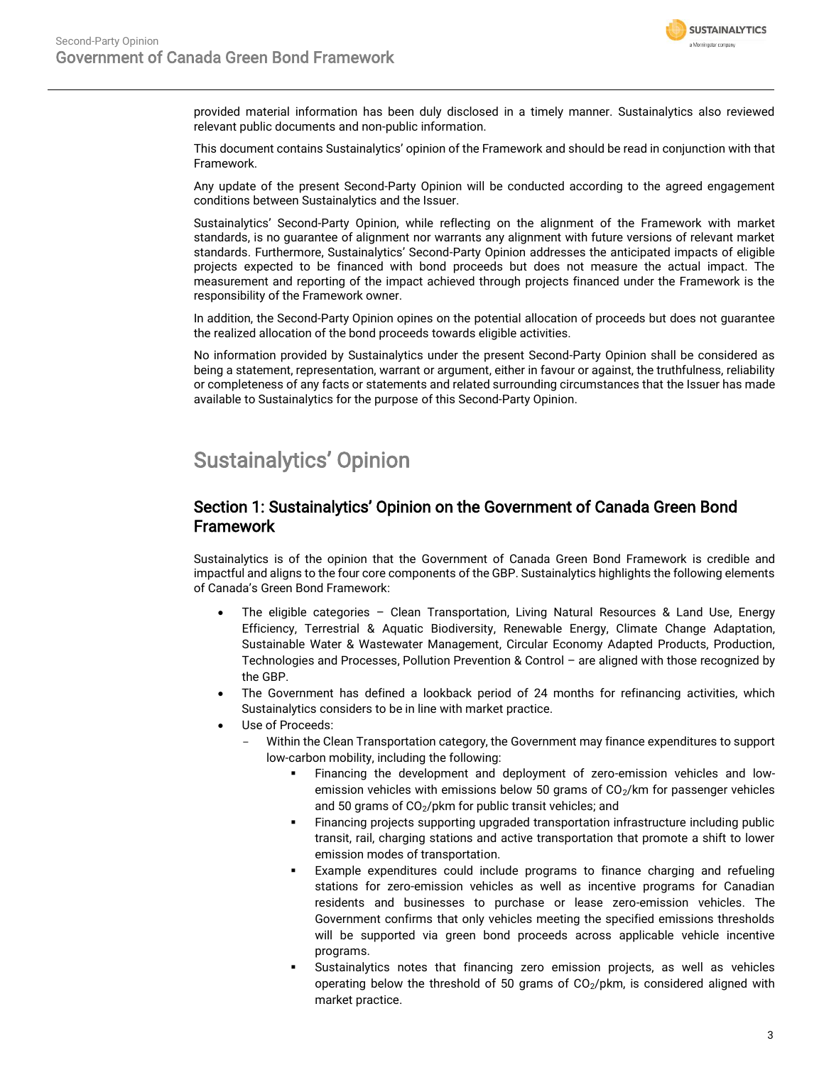

provided material information has been duly disclosed in a timely manner. Sustainalytics also reviewed relevant public documents and non-public information.

This document contains Sustainalytics' opinion of the Framework and should be read in conjunction with that Framework.

Any update of the present Second-Party Opinion will be conducted according to the agreed engagement conditions between Sustainalytics and the Issuer.

Sustainalytics' Second-Party Opinion, while reflecting on the alignment of the Framework with market standards, is no guarantee of alignment nor warrants any alignment with future versions of relevant market standards. Furthermore, Sustainalytics' Second-Party Opinion addresses the anticipated impacts of eligible projects expected to be financed with bond proceeds but does not measure the actual impact. The measurement and reporting of the impact achieved through projects financed under the Framework is the responsibility of the Framework owner.

In addition, the Second-Party Opinion opines on the potential allocation of proceeds but does not guarantee the realized allocation of the bond proceeds towards eligible activities.

No information provided by Sustainalytics under the present Second-Party Opinion shall be considered as being a statement, representation, warrant or argument, either in favour or against, the truthfulness, reliability or completeness of any facts or statements and related surrounding circumstances that the Issuer has made available to Sustainalytics for the purpose of this Second-Party Opinion.

# <span id="page-2-0"></span>Sustainalytics' Opinion

# Section 1: Sustainalytics' Opinion on the Government of Canada Green Bond Framework

Sustainalytics is of the opinion that the Government of Canada Green Bond Framework is credible and impactful and aligns to the four core components of the GBP. Sustainalytics highlights the following elements of Canada's Green Bond Framework:

- The eligible categories Clean Transportation, Living Natural Resources & Land Use, Energy Efficiency, Terrestrial & Aquatic Biodiversity, Renewable Energy, Climate Change Adaptation, Sustainable Water & Wastewater Management, Circular Economy Adapted Products, Production, Technologies and Processes, Pollution Prevention & Control – are aligned with those recognized by the GBP.
- The Government has defined a lookback period of 24 months for refinancing activities, which Sustainalytics considers to be in line with market practice.
- Use of Proceeds:
	- Within the Clean Transportation category, the Government may finance expenditures to support low-carbon mobility, including the following:
		- Financing the development and deployment of zero-emission vehicles and lowemission vehicles with emissions below 50 grams of CO<sub>2</sub>/km for passenger vehicles and 50 grams of  $CO<sub>2</sub>/pkm$  for public transit vehicles; and
		- Financing projects supporting upgraded transportation infrastructure including public transit, rail, charging stations and active transportation that promote a shift to lower emission modes of transportation.
		- Example expenditures could include programs to finance charging and refueling stations for zero-emission vehicles as well as incentive programs for Canadian residents and businesses to purchase or lease zero-emission vehicles. The Government confirms that only vehicles meeting the specified emissions thresholds will be supported via green bond proceeds across applicable vehicle incentive programs.
		- Sustainalytics notes that financing zero emission projects, as well as vehicles operating below the threshold of 50 grams of  $CO<sub>2</sub>/\text{pkm}$ , is considered aligned with market practice.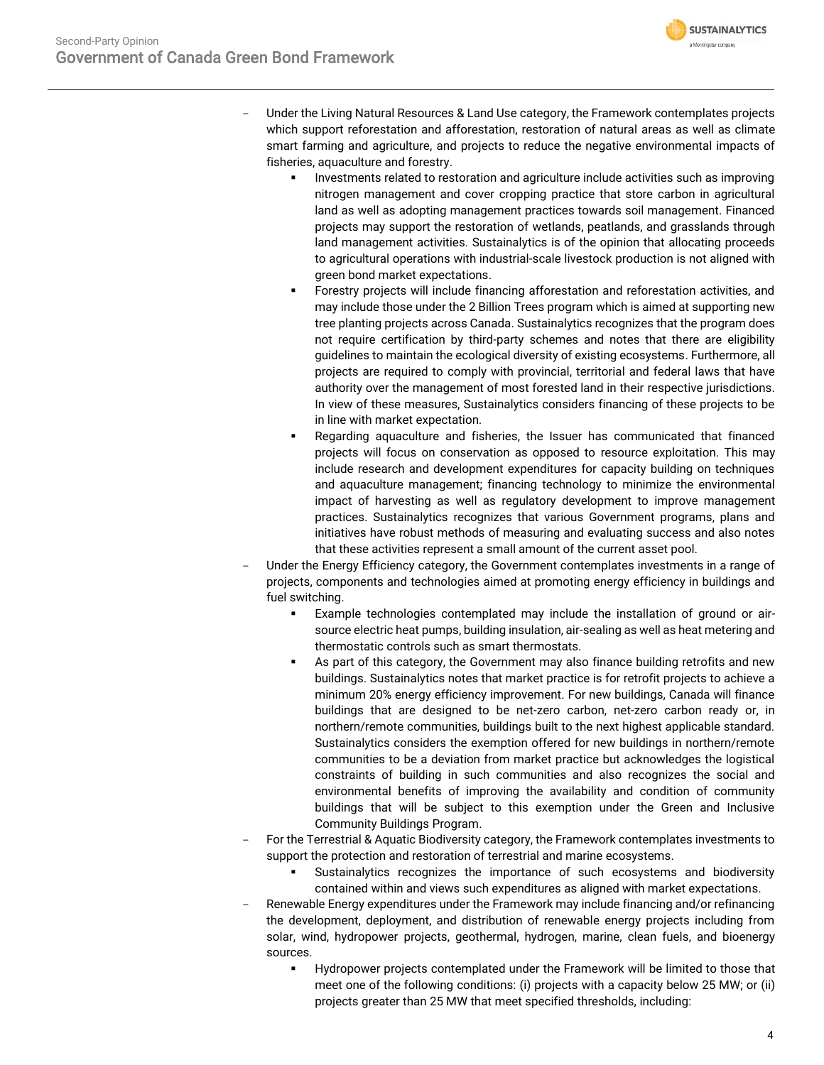

- Under the Living Natural Resources & Land Use category, the Framework contemplates projects which support reforestation and afforestation, restoration of natural areas as well as climate smart farming and agriculture, and projects to reduce the negative environmental impacts of fisheries, aquaculture and forestry.
	- **•** Investments related to restoration and agriculture include activities such as improving nitrogen management and cover cropping practice that store carbon in agricultural land as well as adopting management practices towards soil management. Financed projects may support the restoration of wetlands, peatlands, and grasslands through land management activities. Sustainalytics is of the opinion that allocating proceeds to agricultural operations with industrial-scale livestock production is not aligned with green bond market expectations.
	- Forestry projects will include financing afforestation and reforestation activities, and may include those under the 2 Billion Trees program which is aimed at supporting new tree planting projects across Canada. Sustainalytics recognizes that the program does not require certification by third-party schemes and notes that there are eligibility guidelines to maintain the ecological diversity of existing ecosystems. Furthermore, all projects are required to comply with provincial, territorial and federal laws that have authority over the management of most forested land in their respective jurisdictions. In view of these measures, Sustainalytics considers financing of these projects to be in line with market expectation.
	- Regarding aquaculture and fisheries, the Issuer has communicated that financed projects will focus on conservation as opposed to resource exploitation. This may include research and development expenditures for capacity building on techniques and aquaculture management; financing technology to minimize the environmental impact of harvesting as well as regulatory development to improve management practices. Sustainalytics recognizes that various Government programs, plans and initiatives have robust methods of measuring and evaluating success and also notes that these activities represent a small amount of the current asset pool.
- Under the Energy Efficiency category, the Government contemplates investments in a range of projects, components and technologies aimed at promoting energy efficiency in buildings and fuel switching.
	- Example technologies contemplated may include the installation of ground or airsource electric heat pumps, building insulation, air-sealing as well as heat metering and thermostatic controls such as smart thermostats.
	- **EXECT** As part of this category, the Government may also finance building retrofits and new buildings. Sustainalytics notes that market practice is for retrofit projects to achieve a minimum 20% energy efficiency improvement. For new buildings, Canada will finance buildings that are designed to be net-zero carbon, net-zero carbon ready or, in northern/remote communities, buildings built to the next highest applicable standard. Sustainalytics considers the exemption offered for new buildings in northern/remote communities to be a deviation from market practice but acknowledges the logistical constraints of building in such communities and also recognizes the social and environmental benefits of improving the availability and condition of community buildings that will be subject to this exemption under the Green and Inclusive Community Buildings Program.
- For the Terrestrial & Aquatic Biodiversity category, the Framework contemplates investments to support the protection and restoration of terrestrial and marine ecosystems.
	- Sustainalytics recognizes the importance of such ecosystems and biodiversity contained within and views such expenditures as aligned with market expectations.
- Renewable Energy expenditures under the Framework may include financing and/or refinancing the development, deployment, and distribution of renewable energy projects including from solar, wind, hydropower projects, geothermal, hydrogen, marine, clean fuels, and bioenergy sources.
	- Hydropower projects contemplated under the Framework will be limited to those that meet one of the following conditions: (i) projects with a capacity below 25 MW; or (ii) projects greater than 25 MW that meet specified thresholds, including: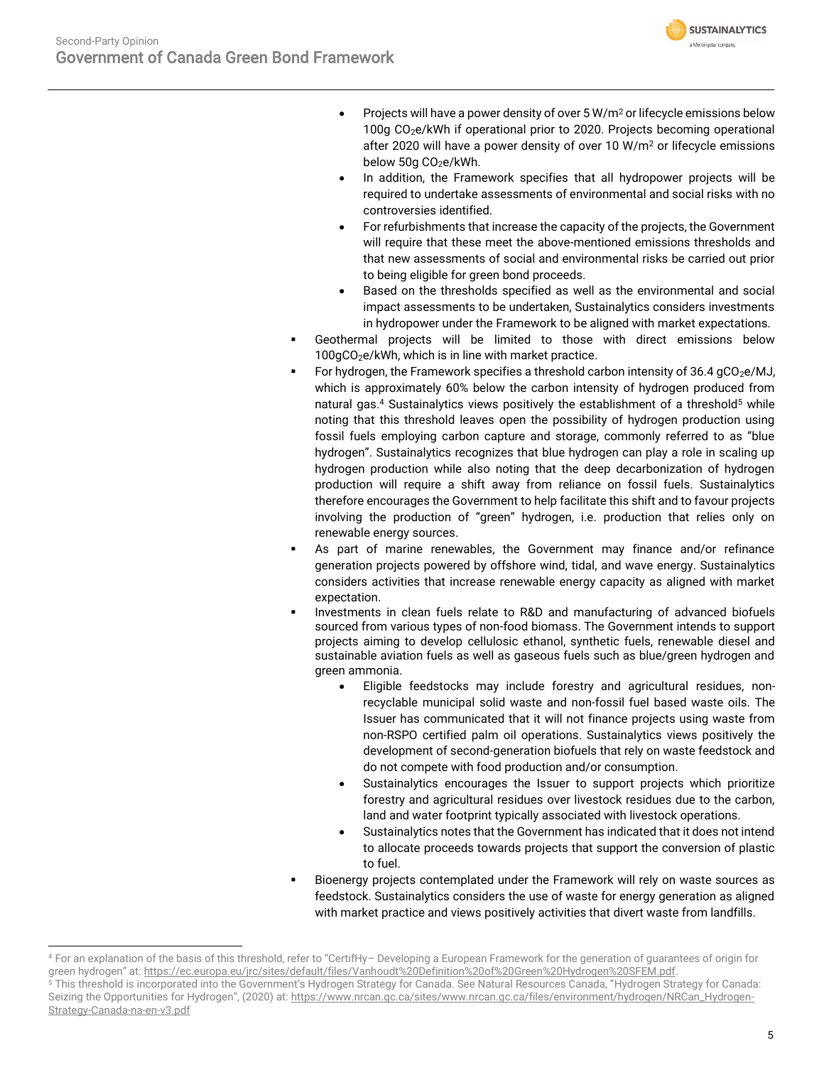

- Projects will have a power density of over 5 W/m<sup>2</sup> or lifecycle emissions below 100g CO2e/kWh if operational prior to 2020. Projects becoming operational after 2020 will have a power density of over 10 W/m<sup>2</sup> or lifecycle emissions below 50g CO<sub>2</sub>e/kWh.
- In addition, the Framework specifies that all hydropower projects will be required to undertake assessments of environmental and social risks with no controversies identified.
- For refurbishments that increase the capacity of the projects, the Government will require that these meet the above-mentioned emissions thresholds and that new assessments of social and environmental risks be carried out prior to being eligible for green bond proceeds.
- Based on the thresholds specified as well as the environmental and social impact assessments to be undertaken, Sustainalytics considers investments in hydropower under the Framework to be aligned with market expectations.
- Geothermal projects will be limited to those with direct emissions below 100gCO<sub>2</sub>e/kWh, which is in line with market practice.
- For hydrogen, the Framework specifies a threshold carbon intensity of  $36.4$  gCO<sub>2</sub>e/MJ, which is approximately 60% below the carbon intensity of hydrogen produced from natural gas.<sup>4</sup> Sustainalytics views positively the establishment of a threshold<sup>5</sup> while noting that this threshold leaves open the possibility of hydrogen production using fossil fuels employing carbon capture and storage, commonly referred to as "blue hydrogen". Sustainalytics recognizes that blue hydrogen can play a role in scaling up hydrogen production while also noting that the deep decarbonization of hydrogen production will require a shift away from reliance on fossil fuels. Sustainalytics therefore encourages the Government to help facilitate this shift and to favour projects involving the production of "green" hydrogen, i.e. production that relies only on renewable energy sources.
- As part of marine renewables, the Government may finance and/or refinance generation projects powered by offshore wind, tidal, and wave energy. Sustainalytics considers activities that increase renewable energy capacity as aligned with market expectation.
- Investments in clean fuels relate to R&D and manufacturing of advanced biofuels sourced from various types of non-food biomass. The Government intends to support projects aiming to develop cellulosic ethanol, synthetic fuels, renewable diesel and sustainable aviation fuels as well as gaseous fuels such as blue/green hydrogen and green ammonia.
	- Eligible feedstocks may include forestry and agricultural residues, nonrecyclable municipal solid waste and non-fossil fuel based waste oils. The Issuer has communicated that it will not finance projects using waste from non-RSPO certified palm oil operations. Sustainalytics views positively the development of second-generation biofuels that rely on waste feedstock and do not compete with food production and/or consumption.
	- Sustainalytics encourages the Issuer to support projects which prioritize forestry and agricultural residues over livestock residues due to the carbon, land and water footprint typically associated with livestock operations.
	- Sustainalytics notes that the Government has indicated that it does not intend to allocate proceeds towards projects that support the conversion of plastic to fuel.
- Bioenergy projects contemplated under the Framework will rely on waste sources as feedstock. Sustainalytics considers the use of waste for energy generation as aligned with market practice and views positively activities that divert waste from landfills.

<sup>4</sup> For an explanation of the basis of this threshold, refer to "CertifHy– Developing a European Framework for the generation of guarantees of origin for green hydrogen" at: [https://ec.europa.eu/jrc/sites/default/files/Vanhoudt%20Definition%20of%20Green%20Hydrogen%20SFEM.pdf.](https://ec.europa.eu/jrc/sites/default/files/Vanhoudt%20Definition%20of%20Green%20Hydrogen%20SFEM.pdf) <sup>5</sup> This threshold is incorporated into the Government's Hydrogen Strategy for Canada. See Natural Resources Canada, "Hydrogen Strategy for Canada: Seizing the Opportunities for Hydrogen", (2020) at: [https://www.nrcan.gc.ca/sites/www.nrcan.gc.ca/files/environment/hydrogen/NRCan\\_Hydrogen-](https://www.nrcan.gc.ca/sites/www.nrcan.gc.ca/files/environment/hydrogen/NRCan_Hydrogen-Strategy-Canada-na-en-v3.pdf)[Strategy-Canada-na-en-v3.pdf](https://www.nrcan.gc.ca/sites/www.nrcan.gc.ca/files/environment/hydrogen/NRCan_Hydrogen-Strategy-Canada-na-en-v3.pdf)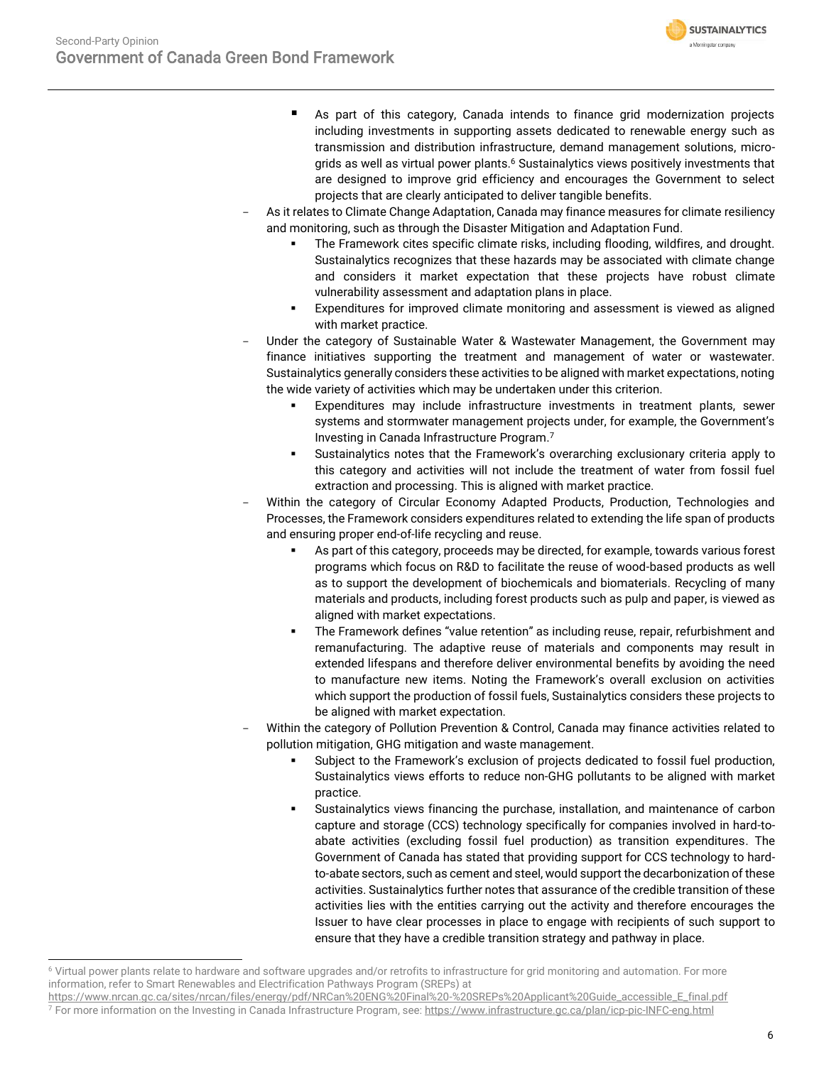- **SUSTAINALYTICS** a Morningstar company
- As part of this category, Canada intends to finance grid modernization projects including investments in supporting assets dedicated to renewable energy such as transmission and distribution infrastructure, demand management solutions, microgrids as well as virtual power plants.<sup>6</sup> Sustainalytics views positively investments that are designed to improve grid efficiency and encourages the Government to select projects that are clearly anticipated to deliver tangible benefits.
- As it relates to Climate Change Adaptation, Canada may finance measures for climate resiliency and monitoring, such as through the Disaster Mitigation and Adaptation Fund.
	- The Framework cites specific climate risks, including flooding, wildfires, and drought. Sustainalytics recognizes that these hazards may be associated with climate change and considers it market expectation that these projects have robust climate vulnerability assessment and adaptation plans in place.
	- Expenditures for improved climate monitoring and assessment is viewed as aligned with market practice.
- Under the category of Sustainable Water & Wastewater Management, the Government may finance initiatives supporting the treatment and management of water or wastewater. Sustainalytics generally considers these activities to be aligned with market expectations, noting the wide variety of activities which may be undertaken under this criterion.
	- Expenditures may include infrastructure investments in treatment plants, sewer systems and stormwater management projects under, for example, the Government's Investing in Canada Infrastructure Program. 7
	- Sustainalytics notes that the Framework's overarching exclusionary criteria apply to this category and activities will not include the treatment of water from fossil fuel extraction and processing. This is aligned with market practice.
- Within the category of Circular Economy Adapted Products, Production, Technologies and Processes, the Framework considers expenditures related to extending the life span of products and ensuring proper end-of-life recycling and reuse.
	- As part of this category, proceeds may be directed, for example, towards various forest programs which focus on R&D to facilitate the reuse of wood-based products as well as to support the development of biochemicals and biomaterials. Recycling of many materials and products, including forest products such as pulp and paper, is viewed as aligned with market expectations.
	- The Framework defines "value retention" as including reuse, repair, refurbishment and remanufacturing. The adaptive reuse of materials and components may result in extended lifespans and therefore deliver environmental benefits by avoiding the need to manufacture new items. Noting the Framework's overall exclusion on activities which support the production of fossil fuels, Sustainalytics considers these projects to be aligned with market expectation.
- Within the category of Pollution Prevention & Control, Canada may finance activities related to pollution mitigation, GHG mitigation and waste management.
	- Subject to the Framework's exclusion of projects dedicated to fossil fuel production, Sustainalytics views efforts to reduce non-GHG pollutants to be aligned with market practice.
	- Sustainalytics views financing the purchase, installation, and maintenance of carbon capture and storage (CCS) technology specifically for companies involved in hard-toabate activities (excluding fossil fuel production) as transition expenditures. The Government of Canada has stated that providing support for CCS technology to hardto-abate sectors, such as cement and steel, would support the decarbonization of these activities. Sustainalytics further notes that assurance of the credible transition of these activities lies with the entities carrying out the activity and therefore encourages the Issuer to have clear processes in place to engage with recipients of such support to ensure that they have a credible transition strategy and pathway in place.

<sup>6</sup> Virtual power plants relate to hardware and software upgrades and/or retrofits to infrastructure for grid monitoring and automation. For more information, refer to Smart Renewables and Electrification Pathways Program (SREPs) at

[https://www.nrcan.gc.ca/sites/nrcan/files/energy/pdf/NRCan%20ENG%20Final%20-%20SREPs%20Applicant%20Guide\\_accessible\\_E\\_final.pdf](https://www.nrcan.gc.ca/sites/nrcan/files/energy/pdf/NRCan%20ENG%20Final%20-%20SREPs%20Applicant%20Guide_accessible_E_final.pdf) <sup>7</sup> For more information on the Investing in Canada Infrastructure Program, see[: https://www.infrastructure.gc.ca/plan/icp-pic-INFC-eng.html](https://www.infrastructure.gc.ca/plan/icp-pic-INFC-eng.html)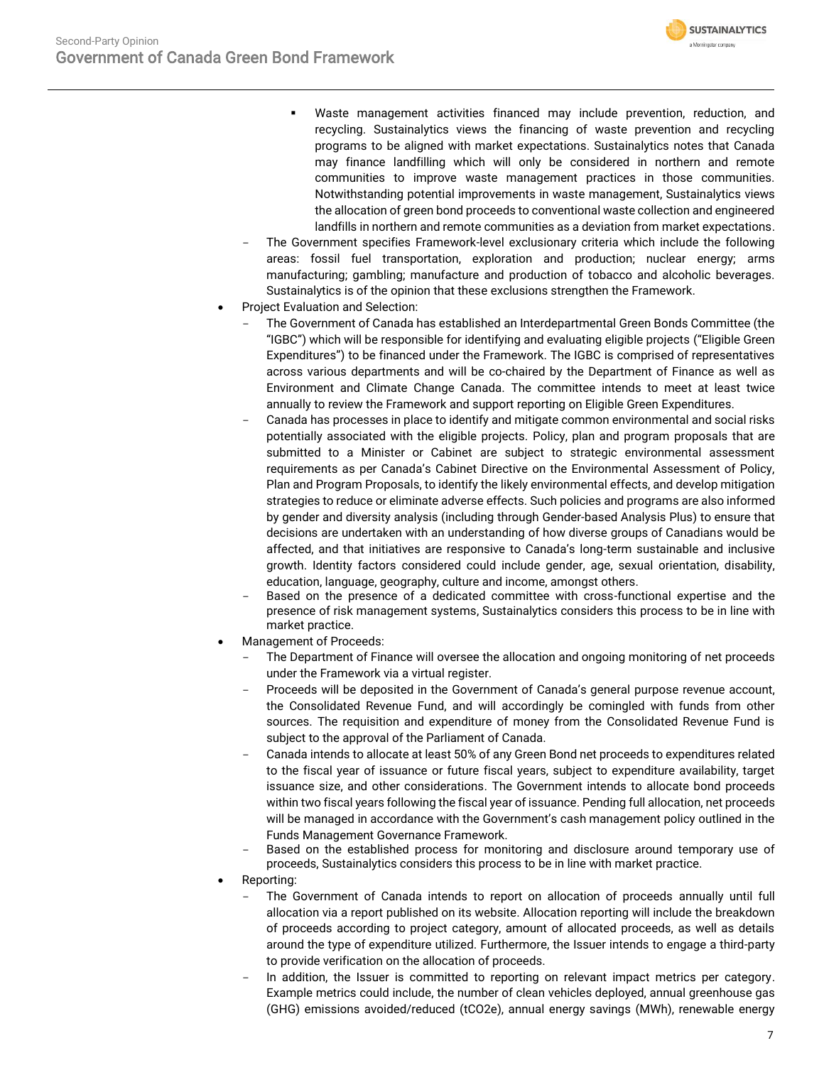- **SUSTAINALYTICS** a Morningstar company
- Waste management activities financed may include prevention, reduction, and recycling. Sustainalytics views the financing of waste prevention and recycling programs to be aligned with market expectations. Sustainalytics notes that Canada may finance landfilling which will only be considered in northern and remote communities to improve waste management practices in those communities. Notwithstanding potential improvements in waste management, Sustainalytics views the allocation of green bond proceeds to conventional waste collection and engineered landfills in northern and remote communities as a deviation from market expectations.
- The Government specifies Framework-level exclusionary criteria which include the following areas: fossil fuel transportation, exploration and production; nuclear energy; arms manufacturing; gambling; manufacture and production of tobacco and alcoholic beverages. Sustainalytics is of the opinion that these exclusions strengthen the Framework.
- Project Evaluation and Selection:
	- The Government of Canada has established an Interdepartmental Green Bonds Committee (the "IGBC") which will be responsible for identifying and evaluating eligible projects ("Eligible Green Expenditures") to be financed under the Framework. The IGBC is comprised of representatives across various departments and will be co-chaired by the Department of Finance as well as Environment and Climate Change Canada. The committee intends to meet at least twice annually to review the Framework and support reporting on Eligible Green Expenditures.
	- Canada has processes in place to identify and mitigate common environmental and social risks potentially associated with the eligible projects. Policy, plan and program proposals that are submitted to a Minister or Cabinet are subject to strategic environmental assessment requirements as per Canada's Cabinet Directive on the Environmental Assessment of Policy, Plan and Program Proposals, to identify the likely environmental effects, and develop mitigation strategies to reduce or eliminate adverse effects. Such policies and programs are also informed by gender and diversity analysis (including through Gender-based Analysis Plus) to ensure that decisions are undertaken with an understanding of how diverse groups of Canadians would be affected, and that initiatives are responsive to Canada's long-term sustainable and inclusive growth. Identity factors considered could include gender, age, sexual orientation, disability, education, language, geography, culture and income, amongst others.
	- Based on the presence of a dedicated committee with cross-functional expertise and the presence of risk management systems, Sustainalytics considers this process to be in line with market practice.
- Management of Proceeds:
	- The Department of Finance will oversee the allocation and ongoing monitoring of net proceeds under the Framework via a virtual register.
	- Proceeds will be deposited in the Government of Canada's general purpose revenue account, the Consolidated Revenue Fund, and will accordingly be comingled with funds from other sources. The requisition and expenditure of money from the Consolidated Revenue Fund is subject to the approval of the Parliament of Canada.
	- Canada intends to allocate at least 50% of any Green Bond net proceeds to expenditures related to the fiscal year of issuance or future fiscal years, subject to expenditure availability, target issuance size, and other considerations. The Government intends to allocate bond proceeds within two fiscal years following the fiscal year of issuance. Pending full allocation, net proceeds will be managed in accordance with the Government's cash management policy outlined in the Funds Management Governance Framework.
	- Based on the established process for monitoring and disclosure around temporary use of proceeds, Sustainalytics considers this process to be in line with market practice.
- Reporting:
	- The Government of Canada intends to report on allocation of proceeds annually until full allocation via a report published on its website. Allocation reporting will include the breakdown of proceeds according to project category, amount of allocated proceeds, as well as details around the type of expenditure utilized. Furthermore, the Issuer intends to engage a third-party to provide verification on the allocation of proceeds.
	- In addition, the Issuer is committed to reporting on relevant impact metrics per category. Example metrics could include, the number of clean vehicles deployed, annual greenhouse gas (GHG) emissions avoided/reduced (tCO2e), annual energy savings (MWh), renewable energy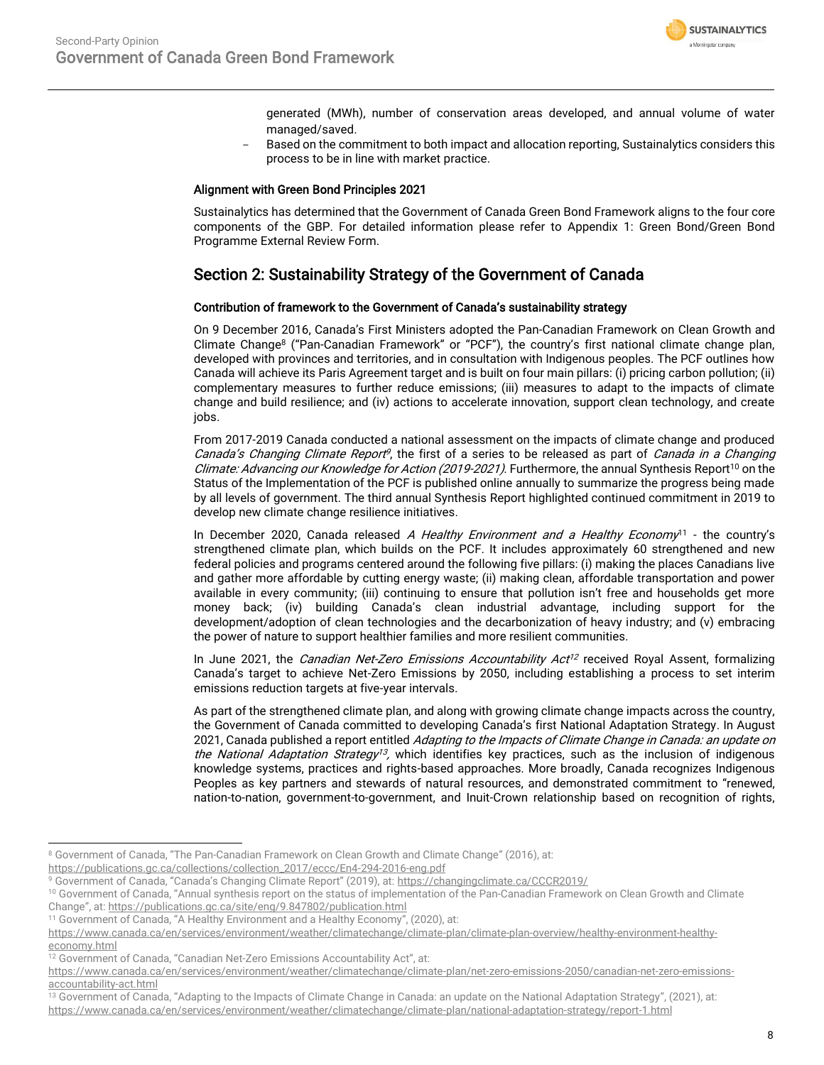

generated (MWh), number of conservation areas developed, and annual volume of water managed/saved.

- Based on the commitment to both impact and allocation reporting, Sustainalytics considers this process to be in line with market practice.

# Alignment with Green Bond Principles 2021

Sustainalytics has determined that the Government of Canada Green Bond Framework aligns to the four core components of the GBP. For detailed information please refer to Appendix 1: Green Bond/Green Bond Programme External Review Form.

# Section 2: Sustainability Strategy of the Government of Canada

# Contribution of framework to the Government of Canada's sustainability strategy

On 9 December 2016, Canada's First Ministers adopted the Pan-Canadian Framework on Clean Growth and Climate Change<sup>8</sup> ("Pan-Canadian Framework" or "PCF"), the country's first national climate change plan, developed with provinces and territories, and in consultation with Indigenous peoples. The PCF outlines how Canada will achieve its Paris Agreement target and is built on four main pillars: (i) pricing carbon pollution; (ii) complementary measures to further reduce emissions; (iii) measures to adapt to the impacts of climate change and build resilience; and (iv) actions to accelerate innovation, support clean technology, and create jobs.

From 2017-2019 Canada conducted a national assessment on the impacts of climate change and produced Canada's Changing Climate Report<sup>9</sup>, the first of a series to be released as part of Canada in a Changing Climate: Advancing our Knowledge for Action (2019-2021). Furthermore, the annual Synthesis Report<sup>10</sup> on the Status of the Implementation of the PCF is published online annually to summarize the progress being made by all levels of government. The third annual Synthesis Report highlighted continued commitment in 2019 to develop new climate change resilience initiatives.

In December 2020, Canada released A Healthy Environment and a Healthy Economy<sup>11</sup> - the country's strengthened climate plan, which builds on the PCF. It includes approximately 60 strengthened and new federal policies and programs centered around the following five pillars: (i) making the places Canadians live and gather more affordable by cutting energy waste; (ii) making clean, affordable transportation and power available in every community; (iii) continuing to ensure that pollution isn't free and households get more money back; (iv) building Canada's clean industrial advantage, including support for the development/adoption of clean technologies and the decarbonization of heavy industry; and (v) embracing the power of nature to support healthier families and more resilient communities.

In June 2021, the *Canadian Net-Zero Emissions Accountability Act<sup>12</sup>* received Royal Assent, formalizing Canada's target to achieve Net-Zero Emissions by 2050, including establishing a process to set interim emissions reduction targets at five-year intervals.

As part of the strengthened climate plan, and along with growing climate change impacts across the country, the Government of Canada committed to developing Canada's first National Adaptation Strategy. In August 2021, Canada published a report entitled Adapting to the Impacts of Climate Change in Canada: an update on the National Adaptation Strategy<sup>13</sup>, which identifies key practices, such as the inclusion of indigenous knowledge systems, practices and rights-based approaches. More broadly, Canada recognizes Indigenous Peoples as key partners and stewards of natural resources, and demonstrated commitment to "renewed, nation-to-nation, government-to-government, and Inuit-Crown relationship based on recognition of rights,

<sup>8</sup> Government of Canada, "The Pan-Canadian Framework on Clean Growth and Climate Change" (2016), at:

[https://publications.gc.ca/collections/collection\\_2017/eccc/En4-294-2016-eng.pdf](https://publications.gc.ca/collections/collection_2017/eccc/En4-294-2016-eng.pdf)

<sup>9</sup> Government of Canada, "Canada's Changing Climate Report" (2019), at: <https://changingclimate.ca/CCCR2019/>

<sup>&</sup>lt;sup>10</sup> Government of Canada, "Annual synthesis report on the status of implementation of the Pan-Canadian Framework on Clean Growth and Climate Change", at: <https://publications.gc.ca/site/eng/9.847802/publication.html>

<sup>11</sup> Government of Canada, "A Healthy Environment and a Healthy Economy", (2020), at:

[https://www.canada.ca/en/services/environment/weather/climatechange/climate-plan/climate-plan-overview/healthy-environment-healthy](https://www.canada.ca/en/services/environment/weather/climatechange/climate-plan/climate-plan-overview/healthy-environment-healthy-economy.html)[economy.html](https://www.canada.ca/en/services/environment/weather/climatechange/climate-plan/climate-plan-overview/healthy-environment-healthy-economy.html)

<sup>12</sup> Government of Canada, "Canadian Net-Zero Emissions Accountability Act", at:

[https://www.canada.ca/en/services/environment/weather/climatechange/climate-plan/net-zero-emissions-2050/canadian-net-zero-emissions](https://www.canada.ca/en/services/environment/weather/climatechange/climate-plan/net-zero-emissions-2050/canadian-net-zero-emissions-accountability-act.html)[accountability-act.html](https://www.canada.ca/en/services/environment/weather/climatechange/climate-plan/net-zero-emissions-2050/canadian-net-zero-emissions-accountability-act.html)

<sup>&</sup>lt;sup>13</sup> Government of Canada, "Adapting to the Impacts of Climate Change in Canada: an update on the National Adaptation Strategy", (2021), at: <https://www.canada.ca/en/services/environment/weather/climatechange/climate-plan/national-adaptation-strategy/report-1.html>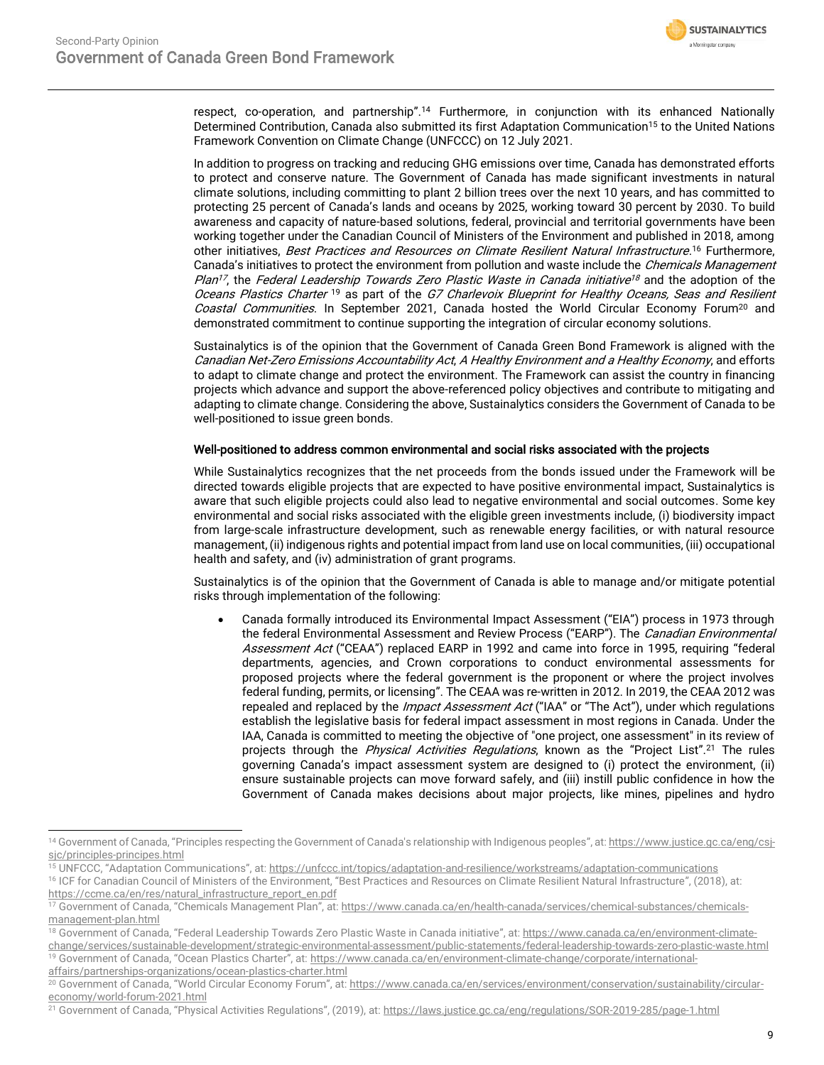

respect, co-operation, and partnership". <sup>14</sup> Furthermore, in conjunction with its enhanced Nationally Determined Contribution, Canada also submitted its first Adaptation Communication<sup>15</sup> to the United Nations Framework Convention on Climate Change (UNFCCC) on 12 July 2021.

In addition to progress on tracking and reducing GHG emissions over time, Canada has demonstrated efforts to protect and conserve nature. The Government of Canada has made significant investments in natural climate solutions, including committing to plant 2 billion trees over the next 10 years, and has committed to protecting 25 percent of Canada's lands and oceans by 2025, working toward 30 percent by 2030. To build awareness and capacity of nature-based solutions, federal, provincial and territorial governments have been working together under the Canadian Council of Ministers of the Environment and published in 2018, among other initiatives, *Best Practices and Resources on Climate Resilient Natural Infrastructure*.<sup>16</sup> Furthermore, Canada's initiatives to protect the environment from pollution and waste include the Chemicals Management Plan<sup>17</sup>, the Federal Leadership Towards Zero Plastic Waste in Canada initiative<sup>18</sup> and the adoption of the Oceans Plastics Charter <sup>19</sup> as part of the G7 Charlevoix Blueprint for Healthy Oceans, Seas and Resilient Coastal Communities. In September 2021, Canada hosted the World Circular Economy Forum<sup>20</sup> and demonstrated commitment to continue supporting the integration of circular economy solutions.

Sustainalytics is of the opinion that the Government of Canada Green Bond Framework is aligned with the Canadian Net-Zero Emissions Accountability Act, A Healthy Environment and a Healthy Economy, and efforts to adapt to climate change and protect the environment. The Framework can assist the country in financing projects which advance and support the above-referenced policy objectives and contribute to mitigating and adapting to climate change. Considering the above, Sustainalytics considers the Government of Canada to be well-positioned to issue green bonds.

### Well-positioned to address common environmental and social risks associated with the projects

While Sustainalytics recognizes that the net proceeds from the bonds issued under the Framework will be directed towards eligible projects that are expected to have positive environmental impact, Sustainalytics is aware that such eligible projects could also lead to negative environmental and social outcomes. Some key environmental and social risks associated with the eligible green investments include, (i) biodiversity impact from large-scale infrastructure development, such as renewable energy facilities, or with natural resource management, (ii) indigenous rights and potential impact from land use on local communities, (iii) occupational health and safety, and (iv) administration of grant programs.

Sustainalytics is of the opinion that the Government of Canada is able to manage and/or mitigate potential risks through implementation of the following:

• Canada formally introduced its Environmental Impact Assessment ("EIA") process in 1973 through the federal Environmental Assessment and Review Process ("EARP"). The Canadian Environmental Assessment Act ("CEAA") replaced EARP in 1992 and came into force in 1995, requiring "federal departments, agencies, and Crown corporations to conduct environmental assessments for proposed projects where the federal government is the proponent or where the project involves federal funding, permits, or licensing". The CEAA was re-written in 2012. In 2019, the CEAA 2012 was repealed and replaced by the *Impact Assessment Act* ("IAA" or "The Act"), under which regulations establish the legislative basis for federal impact assessment in most regions in Canada. Under the IAA, Canada is committed to meeting the objective of "one project, one assessment" in its review of projects through the *Physical Activities Regulations*, known as the "Project List".<sup>21</sup> The rules governing Canada's impact assessment system are designed to (i) protect the environment, (ii) ensure sustainable projects can move forward safely, and (iii) instill public confidence in how the Government of Canada makes decisions about major projects, like mines, pipelines and hydro

<sup>19</sup> Government of Canada, "Ocean Plastics Charter", at: [https://www.canada.ca/en/environment-climate-change/corporate/international](https://www.canada.ca/en/environment-climate-change/corporate/international-affairs/partnerships-organizations/ocean-plastics-charter.html)[affairs/partnerships-organizations/ocean-plastics-charter.html](https://www.canada.ca/en/environment-climate-change/corporate/international-affairs/partnerships-organizations/ocean-plastics-charter.html)

<sup>14</sup> Government of Canada, "Principles respecting the Government of Canada's relationship with Indigenous peoples", at: [https://www.justice.gc.ca/eng/csj](https://www.justice.gc.ca/eng/csj-sjc/principles-principes.html)[sjc/principles-principes.html](https://www.justice.gc.ca/eng/csj-sjc/principles-principes.html)

<sup>15</sup> UNFCCC, "Adaptation Communications", at: <https://unfccc.int/topics/adaptation-and-resilience/workstreams/adaptation-communications>

<sup>16</sup> ICF for Canadian Council of Ministers of the Environment, "Best Practices and Resources on Climate Resilient Natural Infrastructure", (2018), at: [https://ccme.ca/en/res/natural\\_infrastructure\\_report\\_en.pdf](https://ccme.ca/en/res/natural_infrastructure_report_en.pdf)

<sup>&</sup>lt;sup>17</sup> Government of Canada, "Chemicals Management Plan", at: [https://www.canada.ca/en/health-canada/services/chemical-substances/chemicals](https://www.canada.ca/en/health-canada/services/chemical-substances/chemicals-management-plan.html)[management-plan.html](https://www.canada.ca/en/health-canada/services/chemical-substances/chemicals-management-plan.html)

<sup>&</sup>lt;sup>18</sup> Government of Canada, "Federal Leadership Towards Zero Plastic Waste in Canada initiative", at: [https://www.canada.ca/en/environment-climate](https://www.canada.ca/en/environment-climate-change/services/sustainable-development/strategic-environmental-assessment/public-statements/federal-leadership-towards-zero-plastic-waste.html)[change/services/sustainable-development/strategic-environmental-assessment/public-statements/federal-leadership-towards-zero-plastic-waste.html](https://www.canada.ca/en/environment-climate-change/services/sustainable-development/strategic-environmental-assessment/public-statements/federal-leadership-towards-zero-plastic-waste.html)

<sup>&</sup>lt;sup>20</sup> Government of Canada, "World Circular Economy Forum", at: [https://www.canada.ca/en/services/environment/conservation/sustainability/circular](https://www.canada.ca/en/services/environment/conservation/sustainability/circular-economy/world-forum-2021.html)[economy/world-forum-2021.html](https://www.canada.ca/en/services/environment/conservation/sustainability/circular-economy/world-forum-2021.html) 

<sup>&</sup>lt;sup>21</sup> Government of Canada, "Physical Activities Regulations", (2019), at: <https://laws.justice.gc.ca/eng/regulations/SOR-2019-285/page-1.html>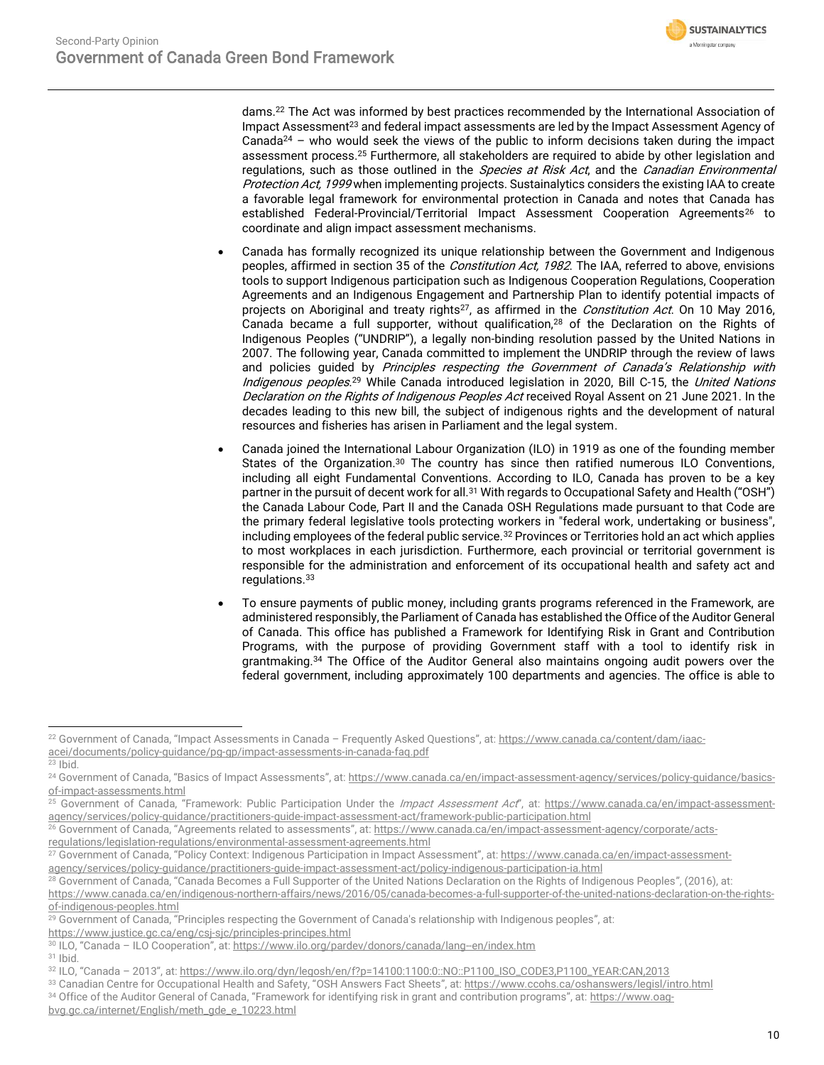

dams.<sup>22</sup> The Act was informed by best practices recommended by the International Association of Impact Assessment<sup>23</sup> and federal impact assessments are led by the Impact Assessment Agency of Canada<sup>24</sup> – who would seek the views of the public to inform decisions taken during the impact assessment process. <sup>25</sup> Furthermore, all stakeholders are required to abide by other legislation and regulations, such as those outlined in the *Species at Risk Act*, and the *Canadian Environmental* Protection Act, 1999 when implementing projects. Sustainalytics considers the existing IAA to create a favorable legal framework for environmental protection in Canada and notes that Canada has established Federal-Provincial/Territorial Impact Assessment Cooperation Agreements<sup>26</sup> to coordinate and align impact assessment mechanisms.

- Canada has formally recognized its unique relationship between the Government and Indigenous peoples, affirmed in section 35 of the *Constitution Act, 1982*. The IAA, referred to above, envisions tools to support Indigenous participation such as Indigenous Cooperation Regulations, Cooperation Agreements and an Indigenous Engagement and Partnership Plan to identify potential impacts of projects on Aboriginal and treaty rights<sup>27</sup>, as affirmed in the *Constitution Act*. On 10 May 2016, Canada became a full supporter, without qualification,<sup>28</sup> of the Declaration on the Rights of Indigenous Peoples ("UNDRIP"), a legally non-binding resolution passed by the United Nations in 2007. The following year, Canada committed to implement the UNDRIP through the review of laws and policies quided by Principles respecting the Government of Canada's Relationship with Indigenous peoples.<sup>29</sup> While Canada introduced legislation in 2020, Bill C-15, the *United Nations* Declaration on the Rights of Indigenous Peoples Act received Royal Assent on 21 June 2021. In the decades leading to this new bill, the subject of indigenous rights and the development of natural resources and fisheries has arisen in Parliament and the legal system.
- Canada joined the International Labour Organization (ILO) in 1919 as one of the founding member States of the Organization.<sup>30</sup> The country has since then ratified numerous ILO Conventions, including all eight Fundamental Conventions. According to ILO, Canada has proven to be a key partner in the pursuit of decent work for all.<sup>31</sup> With regards to Occupational Safety and Health ("OSH") the Canada Labour Code, Part II and the Canada OSH Regulations made pursuant to that Code are the primary federal legislative tools protecting workers in "federal work, undertaking or business", including employees of the federal public service.<sup>32</sup> Provinces or Territories hold an act which applies to most workplaces in each jurisdiction. Furthermore, each provincial or territorial government is responsible for the administration and enforcement of its occupational health and safety act and regulations.<sup>33</sup>
- To ensure payments of public money, including grants programs referenced in the Framework, are administered responsibly, the Parliament of Canada has established the Office of the Auditor General of Canada. This office has published a Framework for Identifying Risk in Grant and Contribution Programs, with the purpose of providing Government staff with a tool to identify risk in grantmaking.<sup>34</sup> The Office of the Auditor General also maintains ongoing audit powers over the federal government, including approximately 100 departments and agencies. The office is able to

<sup>26</sup> Government of Canada, "Agreements related to assessments", at: [https://www.canada.ca/en/impact-assessment-agency/corporate/acts-](https://www.canada.ca/en/impact-assessment-agency/corporate/acts-regulations/legislation-regulations/environmental-assessment-agreements.html)

[regulations/legislation-regulations/environmental-assessment-agreements.html](https://www.canada.ca/en/impact-assessment-agency/corporate/acts-regulations/legislation-regulations/environmental-assessment-agreements.html)

34 Office of the Auditor General of Canada, "Framework for identifying risk in grant and contribution programs", at: [https://www.oag](https://www.oag-bvg.gc.ca/internet/English/meth_gde_e_10223.html)[bvg.gc.ca/internet/English/meth\\_gde\\_e\\_10223.html](https://www.oag-bvg.gc.ca/internet/English/meth_gde_e_10223.html)

<sup>22</sup> Government of Canada, "Impact Assessments in Canada – Frequently Asked Questions", at: [https://www.canada.ca/content/dam/iaac](https://www.canada.ca/content/dam/iaac-acei/documents/policy-guidance/pg-gp/impact-assessments-in-canada-faq.pdf)[acei/documents/policy-guidance/pg-gp/impact-assessments-in-canada-faq.pdf](https://www.canada.ca/content/dam/iaac-acei/documents/policy-guidance/pg-gp/impact-assessments-in-canada-faq.pdf)

 $23$  Ibid.

<sup>&</sup>lt;sup>24</sup> Government of Canada, "Basics of Impact Assessments", at: [https://www.canada.ca/en/impact-assessment-agency/services/policy-guidance/basics](https://www.canada.ca/en/impact-assessment-agency/services/policy-guidance/basics-of-impact-assessments.html)[of-impact-assessments.html](https://www.canada.ca/en/impact-assessment-agency/services/policy-guidance/basics-of-impact-assessments.html)

Government of Canada, "Framework: Public Participation Under the Impact Assessment Act", at: [https://www.canada.ca/en/impact-assessment](https://www.canada.ca/en/impact-assessment-agency/services/policy-guidance/practitioners-guide-impact-assessment-act/framework-public-participation.html)[agency/services/policy-guidance/practitioners-guide-impact-assessment-act/framework-public-participation.html](https://www.canada.ca/en/impact-assessment-agency/services/policy-guidance/practitioners-guide-impact-assessment-act/framework-public-participation.html)

<sup>&</sup>lt;sup>27</sup> Government of Canada, "Policy Context: Indigenous Participation in Impact Assessment", at[: https://www.canada.ca/en/impact-assessment](https://www.canada.ca/en/impact-assessment-agency/services/policy-guidance/practitioners-guide-impact-assessment-act/policy-indigenous-participation-ia.html)[agency/services/policy-guidance/practitioners-guide-impact-assessment-act/policy-indigenous-participation-ia.html](https://www.canada.ca/en/impact-assessment-agency/services/policy-guidance/practitioners-guide-impact-assessment-act/policy-indigenous-participation-ia.html)

<sup>&</sup>lt;sup>28</sup> Government of Canada, "Canada Becomes a Full Supporter of the United Nations Declaration on the Rights of Indigenous Peoples", (2016), at:

[https://www.canada.ca/en/indigenous-northern-affairs/news/2016/05/canada-becomes-a-full-supporter-of-the-united-nations-declaration-on-the-rights](https://www.canada.ca/en/indigenous-northern-affairs/news/2016/05/canada-becomes-a-full-supporter-of-the-united-nations-declaration-on-the-rights-of-indigenous-peoples.html)[of-indigenous-peoples.html](https://www.canada.ca/en/indigenous-northern-affairs/news/2016/05/canada-becomes-a-full-supporter-of-the-united-nations-declaration-on-the-rights-of-indigenous-peoples.html)

<sup>&</sup>lt;sup>29</sup> Government of Canada, "Principles respecting the Government of Canada's relationship with Indigenous peoples", at:

<https://www.justice.gc.ca/eng/csj-sjc/principles-principes.html>

<sup>30</sup> ILO, "Canada – ILO Cooperation", at: <https://www.ilo.org/pardev/donors/canada/lang--en/index.htm>

<sup>31</sup> Ibid.

<sup>32</sup> ILO, "Canada – 2013", at: [https://www.ilo.org/dyn/legosh/en/f?p=14100:1100:0::NO::P1100\\_ISO\\_CODE3,P1100\\_YEAR:CAN,2013](https://www.ilo.org/dyn/legosh/en/f?p=14100:1100:0::NO::P1100_ISO_CODE3,P1100_YEAR:CAN,2013)

<sup>33</sup> Canadian Centre for Occupational Health and Safety, "OSH Answers Fact Sheets", at: <https://www.ccohs.ca/oshanswers/legisl/intro.html>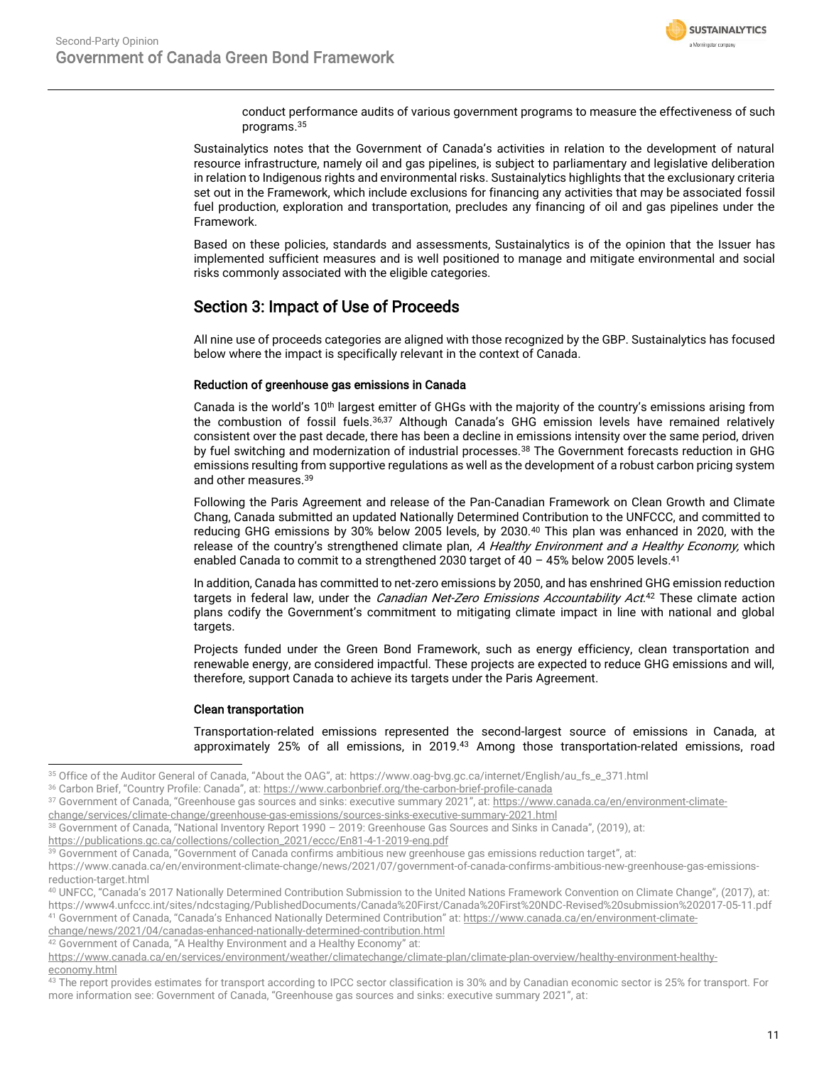

conduct performance audits of various government programs to measure the effectiveness of such programs.<sup>35</sup>

Sustainalytics notes that the Government of Canada's activities in relation to the development of natural resource infrastructure, namely oil and gas pipelines, is subject to parliamentary and legislative deliberation in relation to Indigenous rights and environmental risks. Sustainalytics highlights that the exclusionary criteria set out in the Framework, which include exclusions for financing any activities that may be associated fossil fuel production, exploration and transportation, precludes any financing of oil and gas pipelines under the Framework.

Based on these policies, standards and assessments, Sustainalytics is of the opinion that the Issuer has implemented sufficient measures and is well positioned to manage and mitigate environmental and social risks commonly associated with the eligible categories.

# Section 3: Impact of Use of Proceeds

All nine use of proceeds categories are aligned with those recognized by the GBP. Sustainalytics has focused below where the impact is specifically relevant in the context of Canada.

## Reduction of greenhouse gas emissions in Canada

Canada is the world's 10<sup>th</sup> largest emitter of GHGs with the majority of the country's emissions arising from the combustion of fossil fuels.<sup>36,37</sup> Although Canada's GHG emission levels have remained relatively consistent over the past decade, there has been a decline in emissions intensity over the same period, driven by fuel switching and modernization of industrial processes.<sup>38</sup> The Government forecasts reduction in GHG emissions resulting from supportive regulations as well as the development of a robust carbon pricing system and other measures.<sup>39</sup>

Following the Paris Agreement and release of the Pan-Canadian Framework on Clean Growth and Climate Chang, Canada submitted an updated Nationally Determined Contribution to the UNFCCC, and committed to reducing GHG emissions by 30% below 2005 levels, by 2030.<sup>40</sup> This plan was enhanced in 2020, with the release of the country's strengthened climate plan, A Healthy Environment and a Healthy Economy, which enabled Canada to commit to a strengthened 2030 target of 40 - 45% below 2005 levels.<sup>41</sup>

In addition, Canada has committed to net-zero emissions by 2050, and has enshrined GHG emission reduction targets in federal law, under the *Canadian Net-Zero Emissions Accountability Act*.<sup>42</sup> These climate action plans codify the Government's commitment to mitigating climate impact in line with national and global targets.

Projects funded under the Green Bond Framework, such as energy efficiency, clean transportation and renewable energy, are considered impactful. These projects are expected to reduce GHG emissions and will, therefore, support Canada to achieve its targets under the Paris Agreement.

### Clean transportation

Transportation-related emissions represented the second-largest source of emissions in Canada, at approximately 25% of all emissions, in 2019.<sup>43</sup> Among those transportation-related emissions, road

- [change/services/climate-change/greenhouse-gas-emissions/sources-sinks-executive-summary-2021.html](https://www.canada.ca/en/environment-climate-change/services/climate-change/greenhouse-gas-emissions/sources-sinks-executive-summary-2021.html)
- <sup>38</sup> Government of Canada, "National Inventory Report 1990 2019: Greenhouse Gas Sources and Sinks in Canada", (2019), at:

[change/news/2021/04/canadas-enhanced-nationally-determined-contribution.html](https://www.canada.ca/en/environment-climate-change/news/2021/04/canadas-enhanced-nationally-determined-contribution.html)

<sup>35</sup> Office of the Auditor General of Canada, "About the OAG", at: https://www.oag-bvg.gc.ca/internet/English/au\_fs\_e\_371.html

<sup>36</sup> Carbon Brief, "Country Profile: Canada", at: <https://www.carbonbrief.org/the-carbon-brief-profile-canada>

<sup>37</sup> Government of Canada, "Greenhouse gas sources and sinks: executive summary 2021", at: [https://www.canada.ca/en/environment-climate-](https://www.canada.ca/en/environment-climate-change/services/climate-change/greenhouse-gas-emissions/sources-sinks-executive-summary-2021.html)

[https://publications.gc.ca/collections/collection\\_2021/eccc/En81-4-1-2019-eng.pdf](https://publications.gc.ca/collections/collection_2021/eccc/En81-4-1-2019-eng.pdf)

<sup>39</sup> Government of Canada, "Government of Canada confirms ambitious new greenhouse gas emissions reduction target", at:

https://www.canada.ca/en/environment-climate-change/news/2021/07/government-of-canada-confirms-ambitious-new-greenhouse-gas-emissionsreduction-target.html

<sup>40</sup> UNFCC, "Canada's 2017 Nationally Determined Contribution Submission to the United Nations Framework Convention on Climate Change", (2017), at: https://www4.unfccc.int/sites/ndcstaging/PublishedDocuments/Canada%20First/Canada%20First%20NDC-Revised%20submission%202017-05-11.pdf <sup>41</sup> Government of Canada, "Canada's Enhanced Nationally Determined Contribution" at: [https://www.canada.ca/en/environment-climate-](https://www.canada.ca/en/environment-climate-change/news/2021/04/canadas-enhanced-nationally-determined-contribution.html)

<sup>42</sup> Government of Canada, "A Healthy Environment and a Healthy Economy" at:

[https://www.canada.ca/en/services/environment/weather/climatechange/climate-plan/climate-plan-overview/healthy-environment-healthy](https://www.canada.ca/en/services/environment/weather/climatechange/climate-plan/climate-plan-overview/healthy-environment-healthy-economy.html)[economy.html](https://www.canada.ca/en/services/environment/weather/climatechange/climate-plan/climate-plan-overview/healthy-environment-healthy-economy.html)

<sup>&</sup>lt;sup>43</sup> The report provides estimates for transport according to IPCC sector classification is 30% and by Canadian economic sector is 25% for transport. For more information see: Government of Canada, "Greenhouse gas sources and sinks: executive summary 2021", at: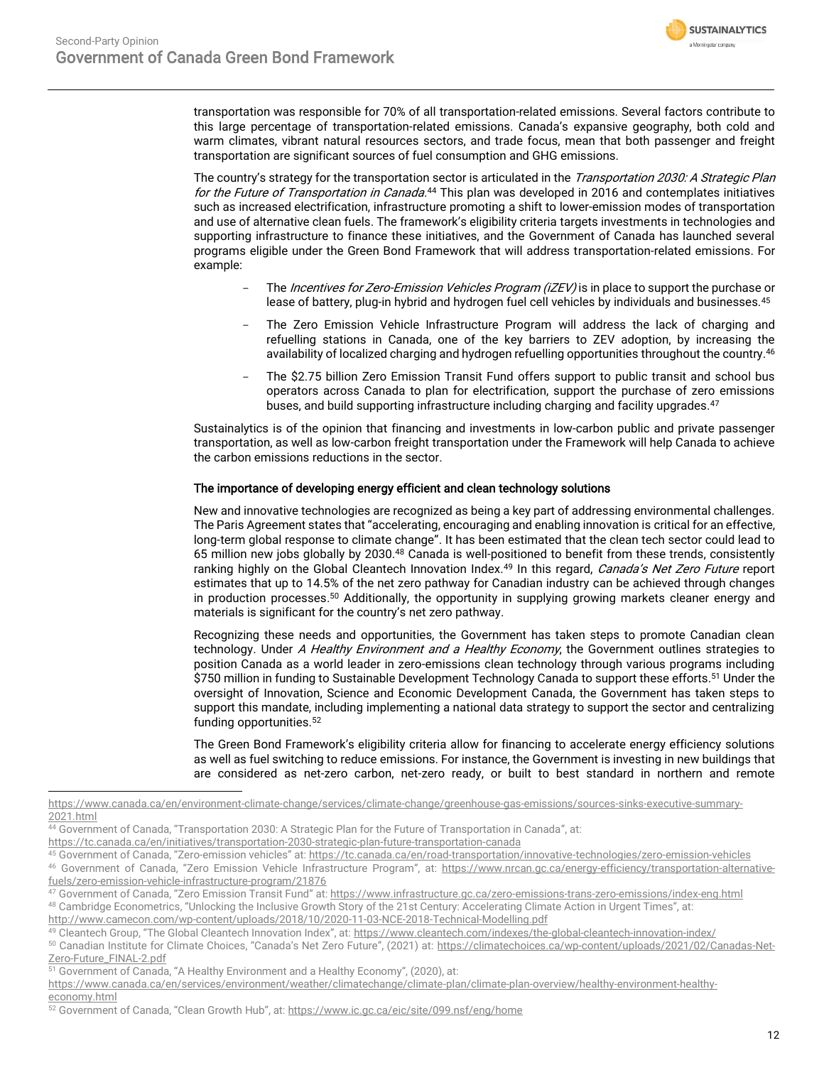

transportation was responsible for 70% of all transportation-related emissions. Several factors contribute to this large percentage of transportation-related emissions. Canada's expansive geography, both cold and warm climates, vibrant natural resources sectors, and trade focus, mean that both passenger and freight transportation are significant sources of fuel consumption and GHG emissions.

The country's strategy for the transportation sector is articulated in the Transportation 2030: A Strategic Plan for the Future of Transportation in Canada.<sup>44</sup> This plan was developed in 2016 and contemplates initiatives such as increased electrification, infrastructure promoting a shift to lower-emission modes of transportation and use of alternative clean fuels. The framework's eligibility criteria targets investments in technologies and supporting infrastructure to finance these initiatives, and the Government of Canada has launched several programs eligible under the Green Bond Framework that will address transportation-related emissions. For example:

- The Incentives for Zero-Emission Vehicles Program (iZEV) is in place to support the purchase or lease of battery, plug-in hybrid and hydrogen fuel cell vehicles by individuals and businesses.<sup>45</sup>
- The Zero Emission Vehicle Infrastructure Program will address the lack of charging and refuelling stations in Canada, one of the key barriers to ZEV adoption, by increasing the availability of localized charging and hydrogen refuelling opportunities throughout the country.<sup>46</sup>
- The \$2.75 billion Zero Emission Transit Fund offers support to public transit and school bus operators across Canada to plan for electrification, support the purchase of zero emissions buses, and build supporting infrastructure including charging and facility upgrades.<sup>47</sup>

Sustainalytics is of the opinion that financing and investments in low-carbon public and private passenger transportation, as well as low-carbon freight transportation under the Framework will help Canada to achieve the carbon emissions reductions in the sector.

# The importance of developing energy efficient and clean technology solutions

New and innovative technologies are recognized as being a key part of addressing environmental challenges. The Paris Agreement states that "accelerating, encouraging and enabling innovation is critical for an effective, long-term global response to climate change". It has been estimated that the clean tech sector could lead to 65 million new jobs globally by 2030.<sup>48</sup> Canada is well-positioned to benefit from these trends, consistently ranking highly on the Global Cleantech Innovation Index.<sup>49</sup> In this regard, Canada's Net Zero Future report estimates that up to 14.5% of the net zero pathway for Canadian industry can be achieved through changes in production processes.<sup>50</sup> Additionally, the opportunity in supplying growing markets cleaner energy and materials is significant for the country's net zero pathway.

Recognizing these needs and opportunities, the Government has taken steps to promote Canadian clean technology. Under A Healthy Environment and a Healthy Economy, the Government outlines strategies to position Canada as a world leader in zero-emissions clean technology through various programs including \$750 million in funding to Sustainable Development Technology Canada to support these efforts.<sup>51</sup> Under the oversight of Innovation, Science and Economic Development Canada, the Government has taken steps to support this mandate, including implementing a national data strategy to support the sector and centralizing funding opportunities.<sup>52</sup>

The Green Bond Framework's eligibility criteria allow for financing to accelerate energy efficiency solutions as well as fuel switching to reduce emissions. For instance, the Government is investing in new buildings that are considered as net-zero carbon, net-zero ready, or built to best standard in northern and remote

[https://www.canada.ca/en/environment-climate-change/services/climate-change/greenhouse-gas-emissions/sources-sinks-executive-summary-](https://www.canada.ca/en/environment-climate-change/services/climate-change/greenhouse-gas-emissions/sources-sinks-executive-summary-2021.html)[2021.html](https://www.canada.ca/en/environment-climate-change/services/climate-change/greenhouse-gas-emissions/sources-sinks-executive-summary-2021.html)

<sup>44</sup> Government of Canada, "Transportation 2030: A Strategic Plan for the Future of Transportation in Canada", at:

<https://tc.canada.ca/en/initiatives/transportation-2030-strategic-plan-future-transportation-canada>

<sup>45</sup> Government of Canada, "Zero-emission vehicles" at: <https://tc.canada.ca/en/road-transportation/innovative-technologies/zero-emission-vehicles>

<sup>46</sup> Government of Canada, "Zero Emission Vehicle Infrastructure Program", at: [https://www.nrcan.gc.ca/energy-efficiency/transportation-alternative](https://www.nrcan.gc.ca/energy-efficiency/transportation-alternative-fuels/zero-emission-vehicle-infrastructure-program/21876)[fuels/zero-emission-vehicle-infrastructure-program/21876](https://www.nrcan.gc.ca/energy-efficiency/transportation-alternative-fuels/zero-emission-vehicle-infrastructure-program/21876)

<sup>47</sup> Government of Canada, "Zero Emission Transit Fund" at: <https://www.infrastructure.gc.ca/zero-emissions-trans-zero-emissions/index-eng.html> 48 Cambridge Econometrics, "Unlocking the Inclusive Growth Story of the 21st Century: Accelerating Climate Action in Urgent Times", at: <http://www.camecon.com/wp-content/uploads/2018/10/2020-11-03-NCE-2018-Technical-Modelling.pdf>

<sup>49</sup> Cleantech Group, "The Global Cleantech Innovation Index", at: <https://www.cleantech.com/indexes/the-global-cleantech-innovation-index/> <sup>50</sup> Canadian Institute for Climate Choices, "Canada's Net Zero Future", (2021) at: [https://climatechoices.ca/wp-content/uploads/2021/02/Canadas-Net-](https://climatechoices.ca/wp-content/uploads/2021/02/Canadas-Net-Zero-Future_FINAL-2.pdf)

[Zero-Future\\_FINAL-2.pdf](https://climatechoices.ca/wp-content/uploads/2021/02/Canadas-Net-Zero-Future_FINAL-2.pdf) <sup>51</sup> Government of Canada, "A Healthy Environment and a Healthy Economy", (2020), at:

[https://www.canada.ca/en/services/environment/weather/climatechange/climate-plan/climate-plan-overview/healthy-environment-healthy](https://www.canada.ca/en/services/environment/weather/climatechange/climate-plan/climate-plan-overview/healthy-environment-healthy-economy.html)[economy.html](https://www.canada.ca/en/services/environment/weather/climatechange/climate-plan/climate-plan-overview/healthy-environment-healthy-economy.html)

<sup>52</sup> Government of Canada, "Clean Growth Hub", at: <https://www.ic.gc.ca/eic/site/099.nsf/eng/home>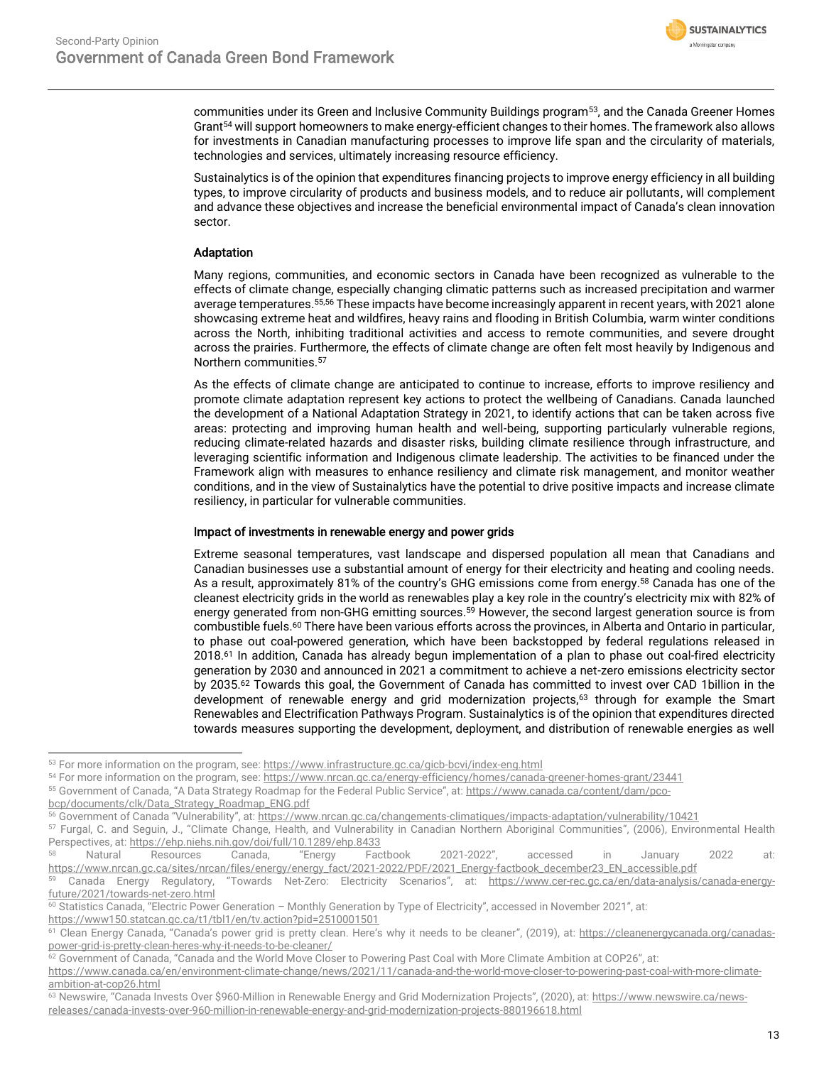

communities under its Green and Inclusive Community Buildings program<sup>53</sup>, and the Canada Greener Homes Grant<sup>54</sup> will support homeowners to make energy-efficient changes to their homes. The framework also allows for investments in Canadian manufacturing processes to improve life span and the circularity of materials, technologies and services, ultimately increasing resource efficiency.

Sustainalytics is of the opinion that expenditures financing projects to improve energy efficiency in all building types, to improve circularity of products and business models, and to reduce air pollutants, will complement and advance these objectives and increase the beneficial environmental impact of Canada's clean innovation sector.

# Adaptation

Many regions, communities, and economic sectors in Canada have been recognized as vulnerable to the effects of climate change, especially changing climatic patterns such as increased precipitation and warmer average temperatures.55,56 These impacts have become increasingly apparent in recent years, with 2021 alone showcasing extreme heat and wildfires, heavy rains and flooding in British Columbia, warm winter conditions across the North, inhibiting traditional activities and access to remote communities, and severe drought across the prairies. Furthermore, the effects of climate change are often felt most heavily by Indigenous and Northern communities.<sup>57</sup>

As the effects of climate change are anticipated to continue to increase, efforts to improve resiliency and promote climate adaptation represent key actions to protect the wellbeing of Canadians. Canada launched the development of a National Adaptation Strategy in 2021, to identify actions that can be taken across five areas: protecting and improving human health and well-being, supporting particularly vulnerable regions, reducing climate-related hazards and disaster risks, building climate resilience through infrastructure, and leveraging scientific information and Indigenous climate leadership. The activities to be financed under the Framework align with measures to enhance resiliency and climate risk management, and monitor weather conditions, and in the view of Sustainalytics have the potential to drive positive impacts and increase climate resiliency, in particular for vulnerable communities.

## Impact of investments in renewable energy and power grids

Extreme seasonal temperatures, vast landscape and dispersed population all mean that Canadians and Canadian businesses use a substantial amount of energy for their electricity and heating and cooling needs. As a result, approximately 81% of the country's GHG emissions come from energy.<sup>58</sup> Canada has one of the cleanest electricity grids in the world as renewables play a key role in the country's electricity mix with 82% of energy generated from non-GHG emitting sources.<sup>59</sup> However, the second largest generation source is from combustible fuels.<sup>60</sup> There have been various efforts across the provinces, in Alberta and Ontario in particular, to phase out coal-powered generation, which have been backstopped by federal regulations released in 2018.<sup>61</sup> In addition, Canada has already begun implementation of a plan to phase out coal-fired electricity generation by 2030 and announced in 2021 a commitment to achieve a net-zero emissions electricity sector by 2035. <sup>62</sup> Towards this goal, the Government of Canada has committed to invest over CAD 1billion in the development of renewable energy and grid modernization projects,<sup>63</sup> through for example the Smart Renewables and Electrification Pathways Program. Sustainalytics is of the opinion that expenditures directed towards measures supporting the development, deployment, and distribution of renewable energies as well

<sup>53</sup> For more information on the program, see[: https://www.infrastructure.gc.ca/gicb-bcvi/index-eng.html](https://www.infrastructure.gc.ca/gicb-bcvi/index-eng.html)

<sup>54</sup> For more information on the program, see[: https://www.nrcan.gc.ca/energy-efficiency/homes/canada-greener-homes-grant/23441](https://www.nrcan.gc.ca/energy-efficiency/homes/canada-greener-homes-grant/23441)

<sup>55</sup> Government of Canada, "A Data Strategy Roadmap for the Federal Public Service", at: [https://www.canada.ca/content/dam/pco-](https://www.canada.ca/content/dam/pco-bcp/documents/clk/Data_Strategy_Roadmap_ENG.pdf)

[bcp/documents/clk/Data\\_Strategy\\_Roadmap\\_ENG.pdf](https://www.canada.ca/content/dam/pco-bcp/documents/clk/Data_Strategy_Roadmap_ENG.pdf)

<sup>56</sup> Government of Canada "Vulnerability", at: <https://www.nrcan.gc.ca/changements-climatiques/impacts-adaptation/vulnerability/10421>

<sup>57</sup> Furgal, C. and Seguin, J., "Climate Change, Health, and Vulnerability in Canadian Northern Aboriginal Communities", (2006), Environmental Health Perspectives, at[: https://ehp.niehs.nih.gov/doi/full/10.1289/ehp.8433](https://ehp.niehs.nih.gov/doi/full/10.1289/ehp.8433)

<sup>58</sup> Natural Resources Canada, "Energy Factbook 2021-2022", accessed in January 2022 at: [https://www.nrcan.gc.ca/sites/nrcan/files/energy/energy\\_fact/2021-2022/PDF/2021\\_Energy-factbook\\_december23\\_EN\\_accessible.pdf](https://www.nrcan.gc.ca/sites/nrcan/files/energy/energy_fact/2021-2022/PDF/2021_Energy-factbook_december23_EN_accessible.pdf)

Canada Energy Regulatory, "Towards Net-Zero: Electricity Scenarios", at: [https://www.cer-rec.gc.ca/en/data-analysis/canada-energy](https://www.cer-rec.gc.ca/en/data-analysis/canada-energy-future/2021/towards-net-zero.html)[future/2021/towards-net-zero.html](https://www.cer-rec.gc.ca/en/data-analysis/canada-energy-future/2021/towards-net-zero.html) 

<sup>&</sup>lt;sup>60</sup> Statistics Canada, "Electric Power Generation - Monthly Generation by Type of Electricity", accessed in November 2021", at: <https://www150.statcan.gc.ca/t1/tbl1/en/tv.action?pid=2510001501>

<sup>&</sup>lt;sup>61</sup> Clean Energy Canada, "Canada's power grid is pretty clean. Here's why it needs to be cleaner", (2019), at: [https://cleanenergycanada.org/canadas](https://cleanenergycanada.org/canadas-power-grid-is-pretty-clean-heres-why-it-needs-to-be-cleaner/)[power-grid-is-pretty-clean-heres-why-it-needs-to-be-cleaner/](https://cleanenergycanada.org/canadas-power-grid-is-pretty-clean-heres-why-it-needs-to-be-cleaner/)

<sup>62</sup> Government of Canada, "Canada and the World Move Closer to Powering Past Coal with More Climate Ambition at COP26", at:

[https://www.canada.ca/en/environment-climate-change/news/2021/11/canada-and-the-world-move-closer-to-powering-past-coal-with-more-climate](https://www.canada.ca/en/environment-climate-change/news/2021/11/canada-and-the-world-move-closer-to-powering-past-coal-with-more-climate-ambition-at-cop26.html)[ambition-at-cop26.html](https://www.canada.ca/en/environment-climate-change/news/2021/11/canada-and-the-world-move-closer-to-powering-past-coal-with-more-climate-ambition-at-cop26.html)

<sup>&</sup>lt;sup>63</sup> Newswire, "Canada Invests Over \$960-Million in Renewable Energy and Grid Modernization Projects", (2020), at: [https://www.newswire.ca/news](https://www.newswire.ca/news-releases/canada-invests-over-960-million-in-renewable-energy-and-grid-modernization-projects-880196618.html)[releases/canada-invests-over-960-million-in-renewable-energy-and-grid-modernization-projects-880196618.html](https://www.newswire.ca/news-releases/canada-invests-over-960-million-in-renewable-energy-and-grid-modernization-projects-880196618.html)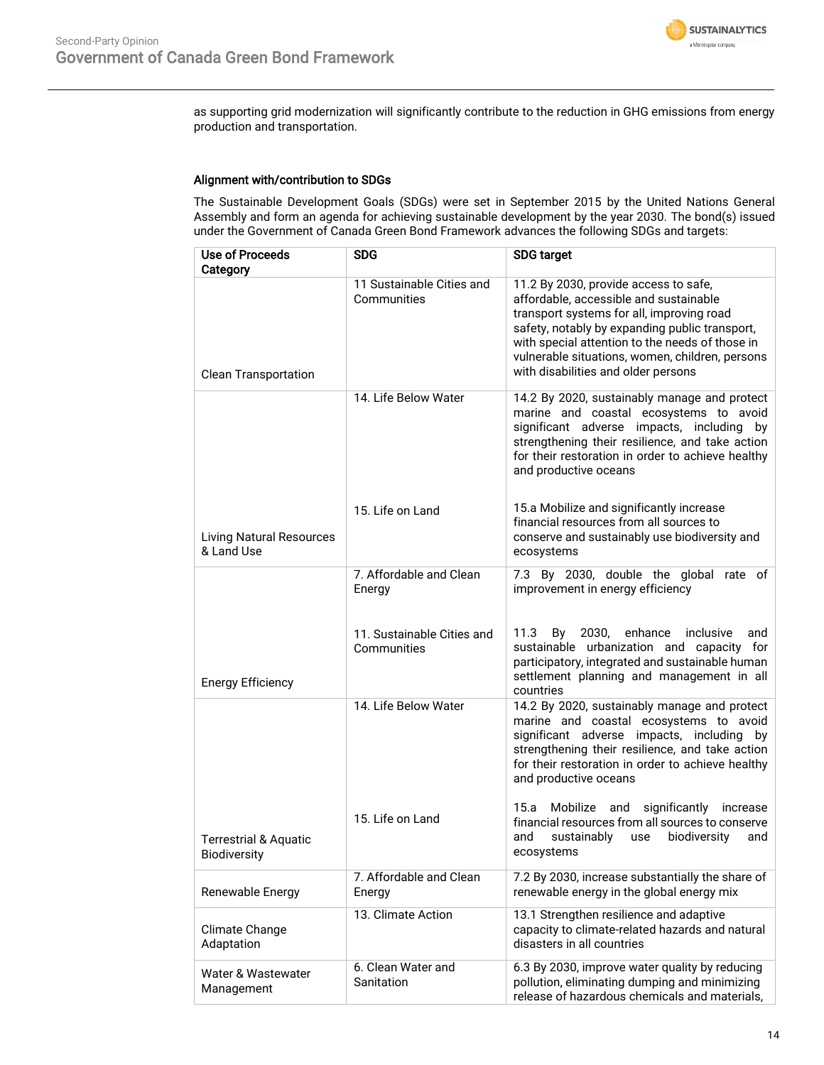

as supporting grid modernization will significantly contribute to the reduction in GHG emissions from energy production and transportation.

## Alignment with/contribution to SDGs

The Sustainable Development Goals (SDGs) were set in September 2015 by the United Nations General Assembly and form an agenda for achieving sustainable development by the year 2030. The bond(s) issued under the Government of Canada Green Bond Framework advances the following SDGs and targets:

| <b>Use of Proceeds</b><br>Category               | <b>SDG</b>                                | <b>SDG target</b>                                                                                                                                                                                                                                                                                                           |
|--------------------------------------------------|-------------------------------------------|-----------------------------------------------------------------------------------------------------------------------------------------------------------------------------------------------------------------------------------------------------------------------------------------------------------------------------|
| <b>Clean Transportation</b>                      | 11 Sustainable Cities and<br>Communities  | 11.2 By 2030, provide access to safe,<br>affordable, accessible and sustainable<br>transport systems for all, improving road<br>safety, notably by expanding public transport,<br>with special attention to the needs of those in<br>vulnerable situations, women, children, persons<br>with disabilities and older persons |
|                                                  | 14. Life Below Water                      | 14.2 By 2020, sustainably manage and protect<br>marine and coastal ecosystems to avoid<br>significant adverse impacts, including by<br>strengthening their resilience, and take action<br>for their restoration in order to achieve healthy<br>and productive oceans                                                        |
| <b>Living Natural Resources</b><br>& Land Use    | 15. Life on Land                          | 15.a Mobilize and significantly increase<br>financial resources from all sources to<br>conserve and sustainably use biodiversity and<br>ecosystems                                                                                                                                                                          |
|                                                  | 7. Affordable and Clean<br>Energy         | 7.3 By 2030, double the global rate of<br>improvement in energy efficiency                                                                                                                                                                                                                                                  |
| <b>Energy Efficiency</b>                         | 11. Sustainable Cities and<br>Communities | 2030,<br>enhance<br>inclusive<br>11.3<br>By<br>and<br>sustainable urbanization and capacity for<br>participatory, integrated and sustainable human<br>settlement planning and management in all<br>countries                                                                                                                |
|                                                  | 14. Life Below Water                      | 14.2 By 2020, sustainably manage and protect<br>marine and coastal ecosystems to avoid<br>significant adverse impacts, including by<br>strengthening their resilience, and take action<br>for their restoration in order to achieve healthy<br>and productive oceans                                                        |
| <b>Terrestrial &amp; Aquatic</b><br>Biodiversity | 15. Life on Land                          | significantly<br>15.a<br>Mobilize<br>and<br>increase<br>financial resources from all sources to conserve<br>sustainably<br>biodiversity<br>and<br>use<br>and<br>ecosystems                                                                                                                                                  |
| Renewable Energy                                 | 7. Affordable and Clean<br>Energy         | 7.2 By 2030, increase substantially the share of<br>renewable energy in the global energy mix                                                                                                                                                                                                                               |
| Climate Change<br>Adaptation                     | 13. Climate Action                        | 13.1 Strengthen resilience and adaptive<br>capacity to climate-related hazards and natural<br>disasters in all countries                                                                                                                                                                                                    |
| Water & Wastewater<br>Management                 | 6. Clean Water and<br>Sanitation          | 6.3 By 2030, improve water quality by reducing<br>pollution, eliminating dumping and minimizing<br>release of hazardous chemicals and materials,                                                                                                                                                                            |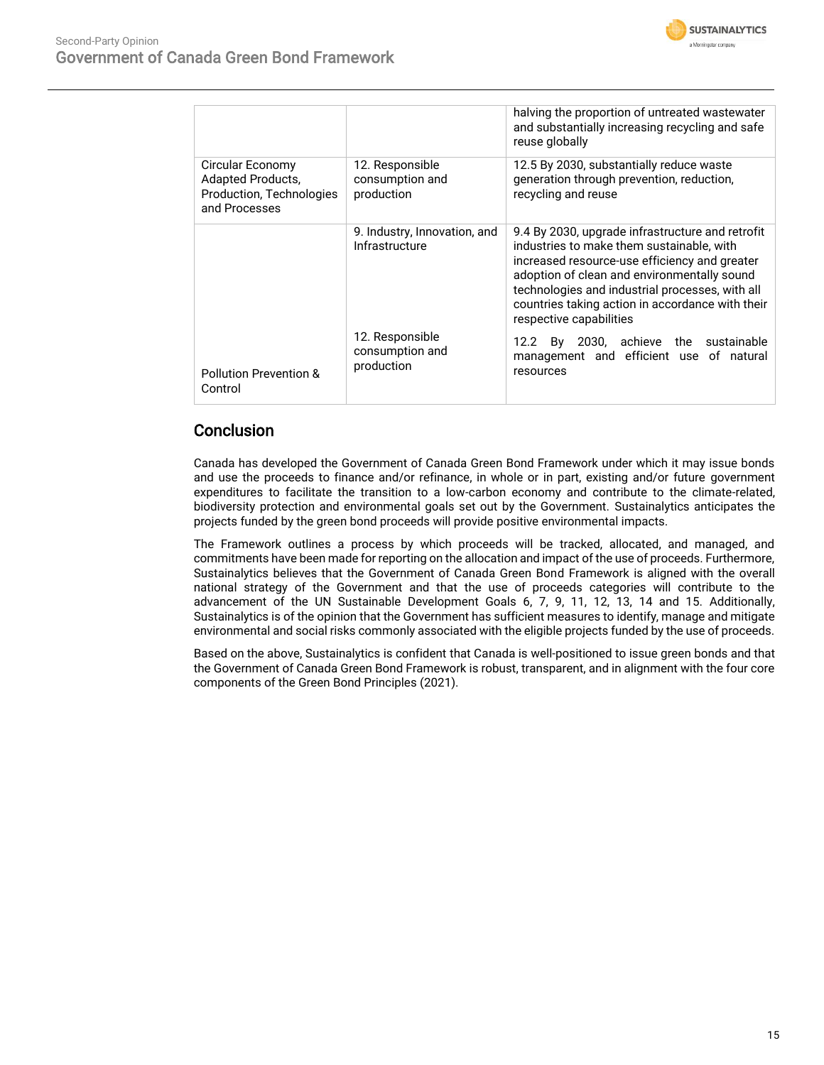

|                                                                                           |                                                  | halving the proportion of untreated wastewater<br>and substantially increasing recycling and safe<br>reuse globally                                                                                                                                                                                                             |
|-------------------------------------------------------------------------------------------|--------------------------------------------------|---------------------------------------------------------------------------------------------------------------------------------------------------------------------------------------------------------------------------------------------------------------------------------------------------------------------------------|
| Circular Economy<br><b>Adapted Products,</b><br>Production, Technologies<br>and Processes | 12. Responsible<br>consumption and<br>production | 12.5 By 2030, substantially reduce waste<br>generation through prevention, reduction,<br>recycling and reuse                                                                                                                                                                                                                    |
|                                                                                           | 9. Industry, Innovation, and<br>Infrastructure   | 9.4 By 2030, upgrade infrastructure and retrofit<br>industries to make them sustainable, with<br>increased resource-use efficiency and greater<br>adoption of clean and environmentally sound<br>technologies and industrial processes, with all<br>countries taking action in accordance with their<br>respective capabilities |
| Pollution Prevention &<br>Control                                                         | 12. Responsible<br>consumption and<br>production | 12.2 By 2030, achieve the<br>sustainable<br>management and efficient use of natural<br>resources                                                                                                                                                                                                                                |

# **Conclusion**

Canada has developed the Government of Canada Green Bond Framework under which it may issue bonds and use the proceeds to finance and/or refinance, in whole or in part, existing and/or future government expenditures to facilitate the transition to a low-carbon economy and contribute to the climate-related, biodiversity protection and environmental goals set out by the Government. Sustainalytics anticipates the projects funded by the green bond proceeds will provide positive environmental impacts.

The Framework outlines a process by which proceeds will be tracked, allocated, and managed, and commitments have been made for reporting on the allocation and impact of the use of proceeds. Furthermore, Sustainalytics believes that the Government of Canada Green Bond Framework is aligned with the overall national strategy of the Government and that the use of proceeds categories will contribute to the advancement of the UN Sustainable Development Goals 6, 7, 9, 11, 12, 13, 14 and 15. Additionally, Sustainalytics is of the opinion that the Government has sufficient measures to identify, manage and mitigate environmental and social risks commonly associated with the eligible projects funded by the use of proceeds.

Based on the above, Sustainalytics is confident that Canada is well-positioned to issue green bonds and that the Government of Canada Green Bond Framework is robust, transparent, and in alignment with the four core components of the Green Bond Principles (2021).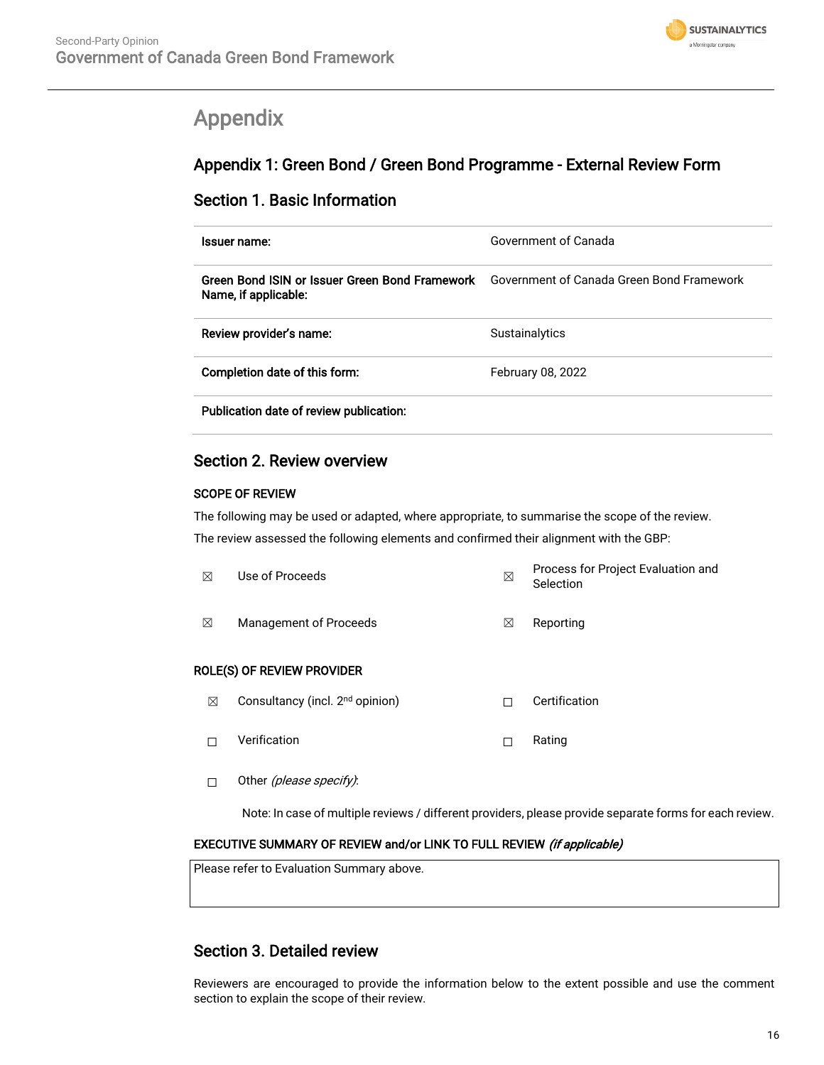

# <span id="page-15-0"></span>Appendix

# Appendix 1: Green Bond / Green Bond Programme - External Review Form

# Section 1. Basic Information

| Issuer name:                                                                                                     | Government of Canada |
|------------------------------------------------------------------------------------------------------------------|----------------------|
| Green Bond ISIN or Issuer Green Bond Framework Government of Canada Green Bond Framework<br>Name, if applicable: |                      |
| Review provider's name:                                                                                          | Sustainalytics       |
| Completion date of this form:                                                                                    | February 08, 2022    |
| Publication date of review publication:                                                                          |                      |

# Section 2. Review overview

# SCOPE OF REVIEW

The following may be used or adapted, where appropriate, to summarise the scope of the review.

The review assessed the following elements and confirmed their alignment with the GBP:

| ⊠ | Use of Proceeds                             | ⊠ | Process for Project Evaluation and<br>Selection |
|---|---------------------------------------------|---|-------------------------------------------------|
| ⊠ | Management of Proceeds                      | ⊠ | Reporting                                       |
|   | ROLE(S) OF REVIEW PROVIDER                  |   |                                                 |
| ⊠ | Consultancy (incl. 2 <sup>nd</sup> opinion) | П | Certification                                   |
| П | Verification                                | П | Rating                                          |

□ Other (please specify):

Note: In case of multiple reviews / different providers, please provide separate forms for each review.

# EXECUTIVE SUMMARY OF REVIEW and/or LINK TO FULL REVIEW (if applicable)

Please refer to Evaluation Summary above.

# Section 3. Detailed review

Reviewers are encouraged to provide the information below to the extent possible and use the comment section to explain the scope of their review.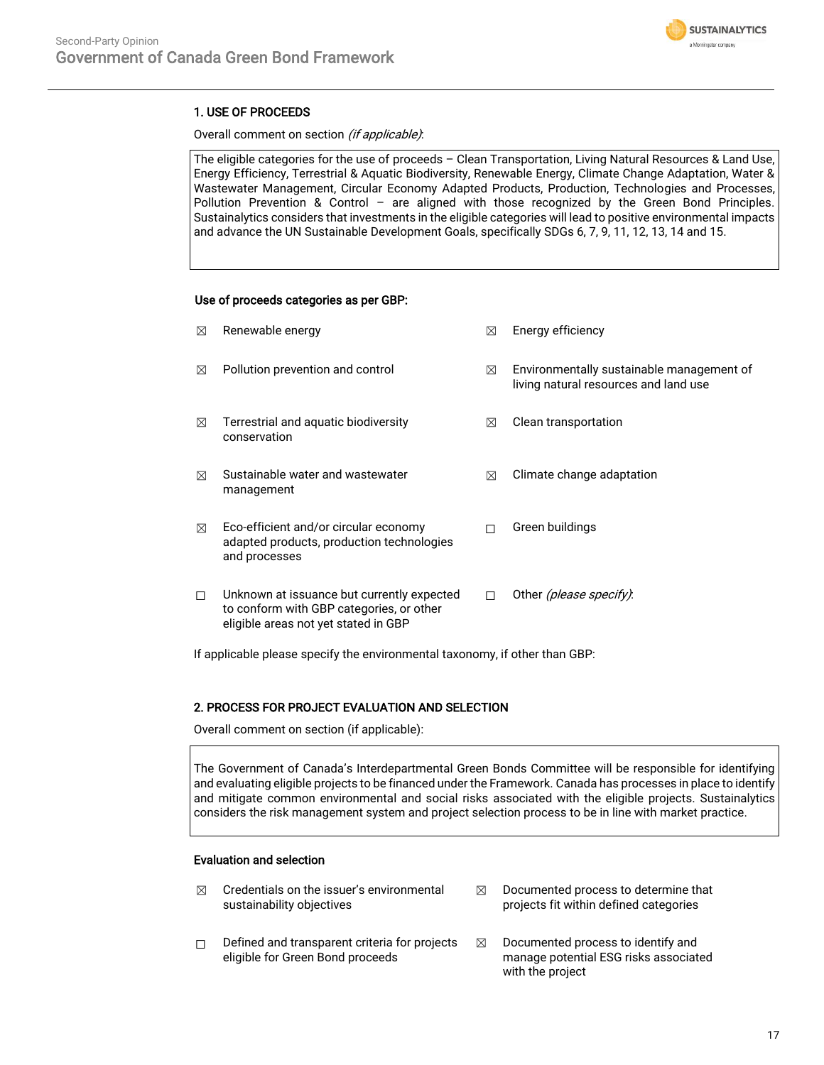

# 1. USE OF PROCEEDS

## Overall comment on section (if applicable):

The eligible categories for the use of proceeds – Clean Transportation, Living Natural Resources & Land Use, Energy Efficiency, Terrestrial & Aquatic Biodiversity, Renewable Energy, Climate Change Adaptation, Water & Wastewater Management, Circular Economy Adapted Products, Production, Technologies and Processes, Pollution Prevention & Control – are aligned with those recognized by the Green Bond Principles. Sustainalytics considers that investments in the eligible categories will lead to positive environmental impacts and advance the UN Sustainable Development Goals, specifically SDGs 6, 7, 9, 11, 12, 13, 14 and 15.

### Use of proceeds categories as per GBP:

| ⊠ | Renewable energy                                                                                                               | ⊠ | Energy efficiency                                                                  |
|---|--------------------------------------------------------------------------------------------------------------------------------|---|------------------------------------------------------------------------------------|
| ⊠ | Pollution prevention and control                                                                                               | ⊠ | Environmentally sustainable management of<br>living natural resources and land use |
| ⊠ | Terrestrial and aquatic biodiversity<br>conservation                                                                           | ⊠ | Clean transportation                                                               |
| ⊠ | Sustainable water and wastewater<br>management                                                                                 | ⊠ | Climate change adaptation                                                          |
| ⊠ | Eco-efficient and/or circular economy<br>adapted products, production technologies<br>and processes                            | П | Green buildings                                                                    |
| П | Unknown at issuance but currently expected<br>to conform with GBP categories, or other<br>eligible areas not yet stated in GBP | п | Other <i>(please specify)</i> :                                                    |

If applicable please specify the environmental taxonomy, if other than GBP:

# 2. PROCESS FOR PROJECT EVALUATION AND SELECTION

Overall comment on section (if applicable):

The Government of Canada's Interdepartmental Green Bonds Committee will be responsible for identifying and evaluating eligible projects to be financed under the Framework. Canada has processes in place to identify and mitigate common environmental and social risks associated with the eligible projects. Sustainalytics considers the risk management system and project selection process to be in line with market practice.

# Evaluation and selection

- $\boxtimes$  Credentials on the issuer's environmental sustainability objectives
- ☐ Defined and transparent criteria for projects eligible for Green Bond proceeds
- $\boxtimes$  Documented process to determine that projects fit within defined categories
- $\boxtimes$  Documented process to identify and manage potential ESG risks associated with the project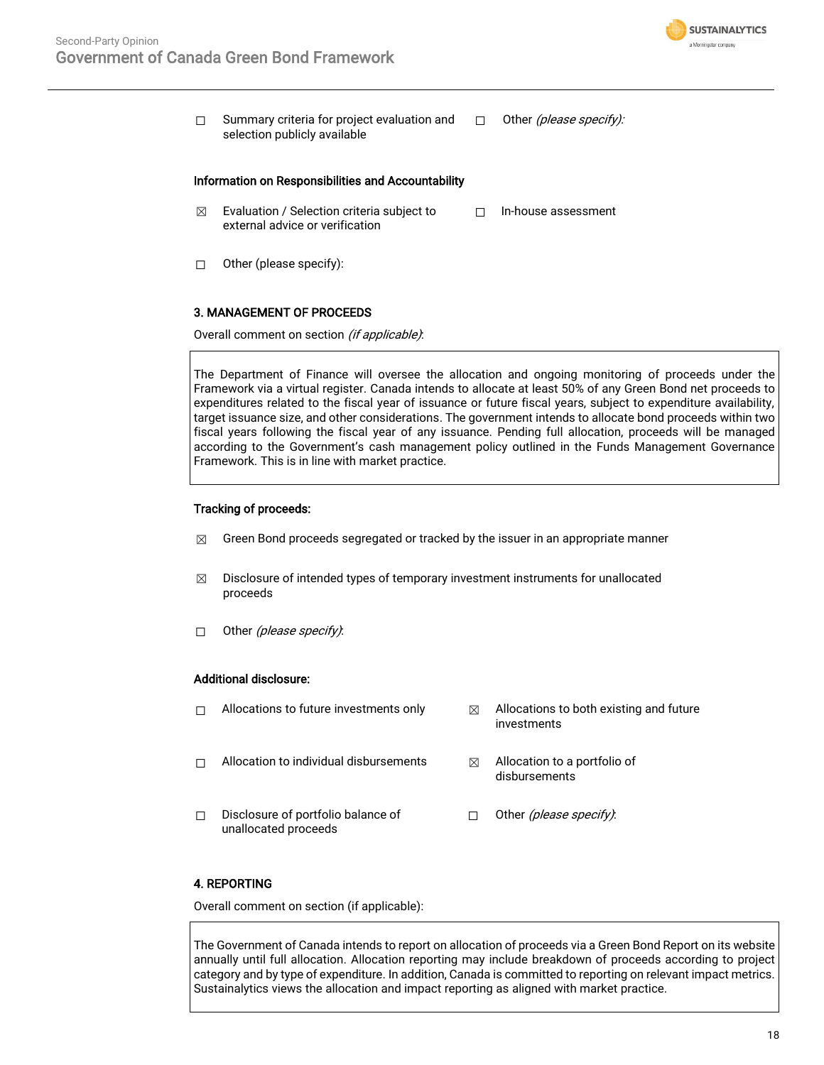

☐ Summary criteria for project evaluation and selection publicly available  $\Box$  Other (please specify):

### Information on Responsibilities and Accountability

- $\boxtimes$  Evaluation / Selection criteria subject to external advice or verification ☐ In-house assessment
- ☐ Other (please specify):

#### 3. MANAGEMENT OF PROCEEDS

Overall comment on section (if applicable):

The Department of Finance will oversee the allocation and ongoing monitoring of proceeds under the Framework via a virtual register. Canada intends to allocate at least 50% of any Green Bond net proceeds to expenditures related to the fiscal year of issuance or future fiscal years, subject to expenditure availability, target issuance size, and other considerations. The government intends to allocate bond proceeds within two fiscal years following the fiscal year of any issuance. Pending full allocation, proceeds will be managed according to the Government's cash management policy outlined in the Funds Management Governance Framework. This is in line with market practice.

## Tracking of proceeds:

- $\boxtimes$  Green Bond proceeds segregated or tracked by the issuer in an appropriate manner
- $\boxtimes$  Disclosure of intended types of temporary investment instruments for unallocated proceeds
- $\Box$  Other (please specify):

## Additional disclosure:

- $\Box$  Allocations to future investments only  $\boxtimes$  Allocations to both existing and future investments  $\Box$  Allocation to individual disbursements  $\boxtimes$  Allocation to a portfolio of disbursements
- ☐ Disclosure of portfolio balance of unallocated proceeds □ Other (please specify):

# 4. REPORTING

Overall comment on section (if applicable):

The Government of Canada intends to report on allocation of proceeds via a Green Bond Report on its website annually until full allocation. Allocation reporting may include breakdown of proceeds according to project category and by type of expenditure. In addition, Canada is committed to reporting on relevant impact metrics. Sustainalytics views the allocation and impact reporting as aligned with market practice.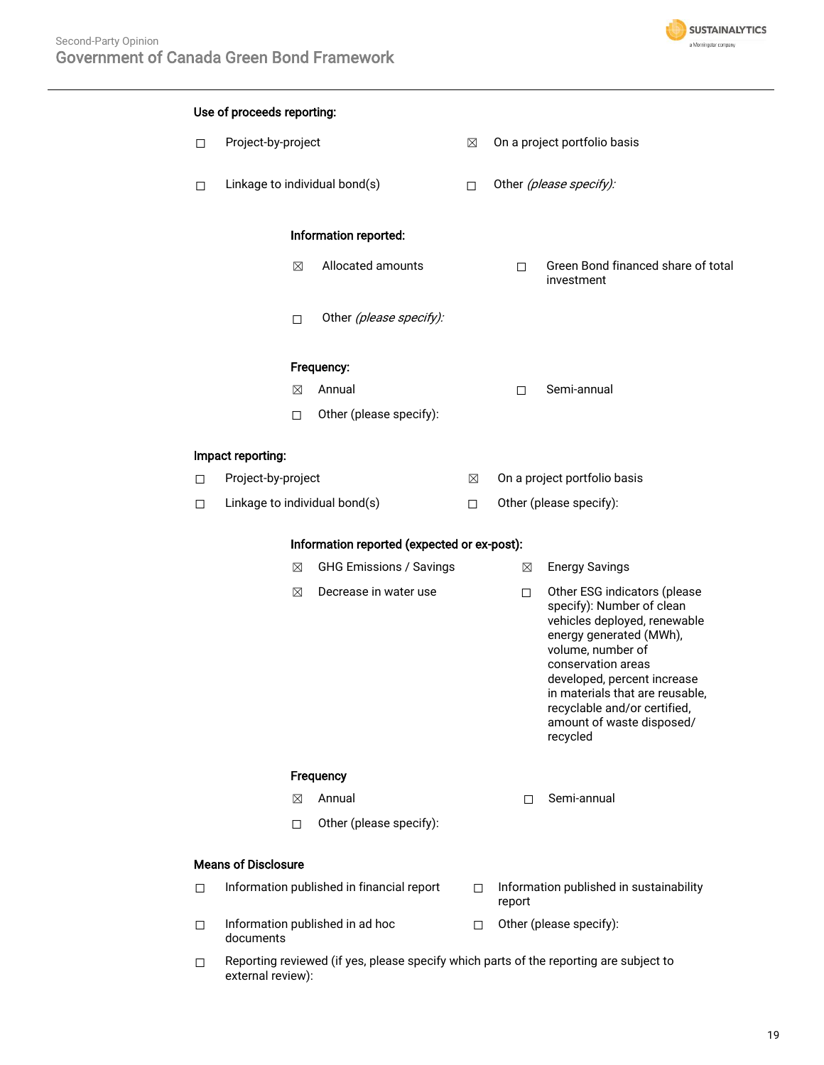

# Use of proceeds reporting: ☐ Project-by-project ☒ On a project portfolio basis □ Linkage to individual bond(s) □ Other (please specify): Information reported: ☒ Allocated amounts ☐ Green Bond financed share of total investment □ Other (please specify): Frequency: ☒ Annual ☐ Semi-annual ☐ Other (please specify): Impact reporting: ☐ Project-by-project ☒ On a project portfolio basis ☐ Linkage to individual bond(s) ☐ Other (please specify): Information reported (expected or ex-post): **⊠** GHG Emissions / Savings **Ⅰ 2 Energy Savings ⊠** Decrease in water use □ Other ESG indicators (please specify): Number of clean vehicles deployed, renewable energy generated (MWh), volume, number of conservation areas developed, percent increase in materials that are reusable, recyclable and/or certified, amount of waste disposed/ recycled **Frequency** ☒ Annual ☐ Semi-annual ☐ Other (please specify): Means of Disclosure □ Information published in financial report □ Information published in sustainability report ☐ Information published in ad hoc documents ☐ Other (please specify):  $\Box$  Reporting reviewed (if yes, please specify which parts of the reporting are subject to external review):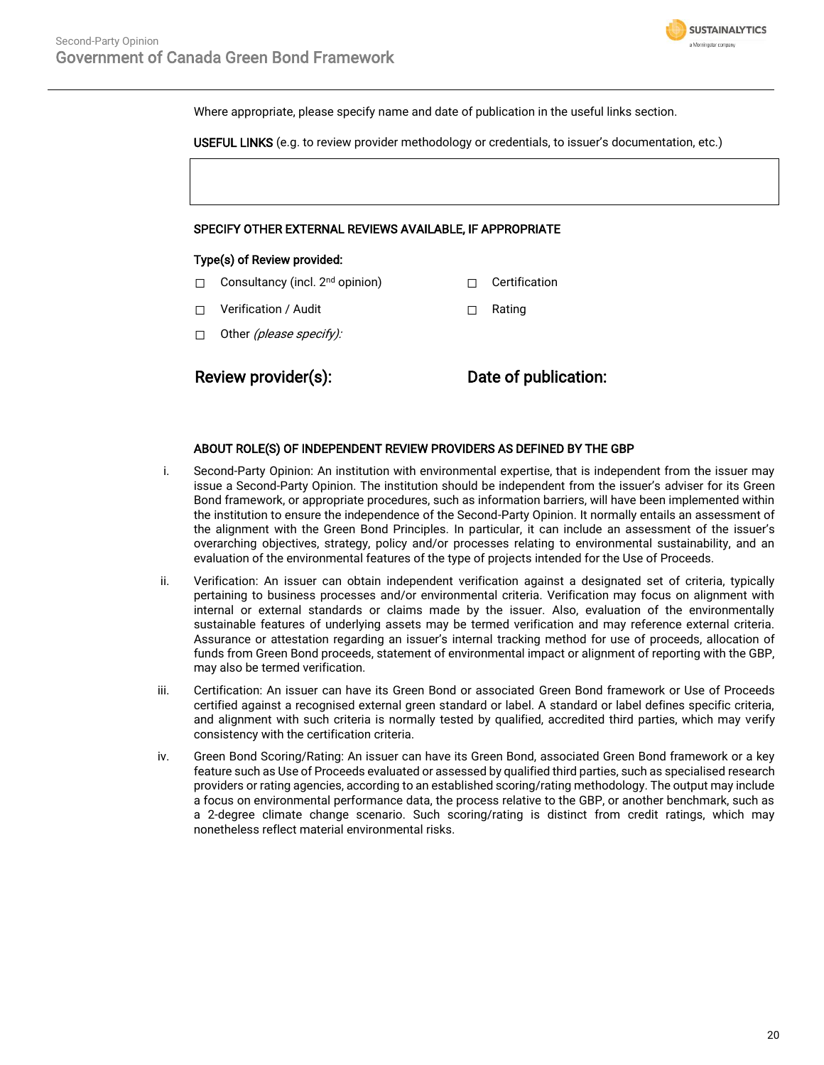

Where appropriate, please specify name and date of publication in the useful links section.

USEFUL LINKS (e.g. to review provider methodology or credentials, to issuer's documentation, etc.)

## SPECIFY OTHER EXTERNAL REVIEWS AVAILABLE, IF APPROPRIATE

#### Type(s) of Review provided:

- □ Consultancy (incl. 2<sup>nd</sup> opinion) □ Certification
- ☐ Verification / Audit ☐ Rating
- □ Other (please specify):

Review provider(s): Date of publication:

### ABOUT ROLE(S) OF INDEPENDENT REVIEW PROVIDERS AS DEFINED BY THE GBP

- i. Second-Party Opinion: An institution with environmental expertise, that is independent from the issuer may issue a Second-Party Opinion. The institution should be independent from the issuer's adviser for its Green Bond framework, or appropriate procedures, such as information barriers, will have been implemented within the institution to ensure the independence of the Second-Party Opinion. It normally entails an assessment of the alignment with the Green Bond Principles. In particular, it can include an assessment of the issuer's overarching objectives, strategy, policy and/or processes relating to environmental sustainability, and an evaluation of the environmental features of the type of projects intended for the Use of Proceeds.
- ii. Verification: An issuer can obtain independent verification against a designated set of criteria, typically pertaining to business processes and/or environmental criteria. Verification may focus on alignment with internal or external standards or claims made by the issuer. Also, evaluation of the environmentally sustainable features of underlying assets may be termed verification and may reference external criteria. Assurance or attestation regarding an issuer's internal tracking method for use of proceeds, allocation of funds from Green Bond proceeds, statement of environmental impact or alignment of reporting with the GBP, may also be termed verification.
- iii. Certification: An issuer can have its Green Bond or associated Green Bond framework or Use of Proceeds certified against a recognised external green standard or label. A standard or label defines specific criteria, and alignment with such criteria is normally tested by qualified, accredited third parties, which may verify consistency with the certification criteria.
- iv. Green Bond Scoring/Rating: An issuer can have its Green Bond, associated Green Bond framework or a key feature such as Use of Proceeds evaluated or assessed by qualified third parties, such as specialised research providers or rating agencies, according to an established scoring/rating methodology. The output may include a focus on environmental performance data, the process relative to the GBP, or another benchmark, such as a 2-degree climate change scenario. Such scoring/rating is distinct from credit ratings, which may nonetheless reflect material environmental risks.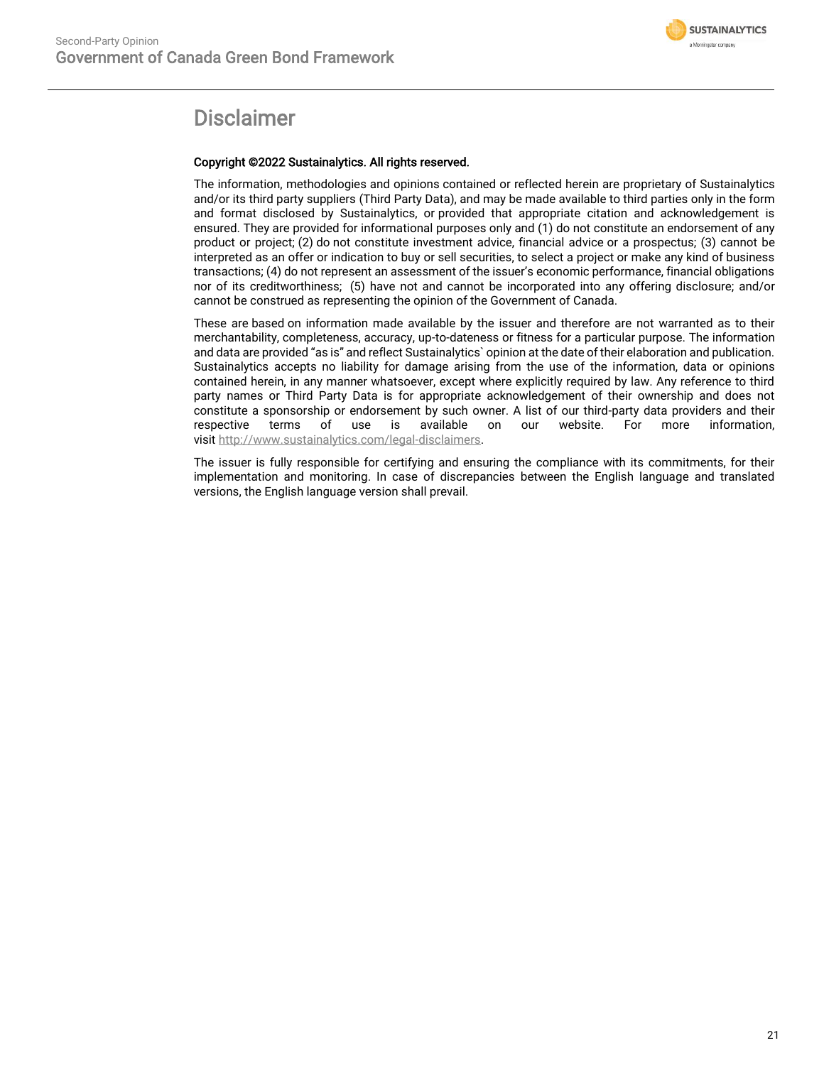

# Disclaimer

# Copyright ©2022 Sustainalytics. All rights reserved.

The information, methodologies and opinions contained or reflected herein are proprietary of Sustainalytics and/or its third party suppliers (Third Party Data), and may be made available to third parties only in the form and format disclosed by Sustainalytics, or provided that appropriate citation and acknowledgement is ensured. They are provided for informational purposes only and (1) do not constitute an endorsement of any product or project; (2) do not constitute investment advice, financial advice or a prospectus; (3) cannot be interpreted as an offer or indication to buy or sell securities, to select a project or make any kind of business transactions; (4) do not represent an assessment of the issuer's economic performance, financial obligations nor of its creditworthiness; (5) have not and cannot be incorporated into any offering disclosure; and/or cannot be construed as representing the opinion of the Government of Canada.

These are based on information made available by the issuer and therefore are not warranted as to their merchantability, completeness, accuracy, up-to-dateness or fitness for a particular purpose. The information and data are provided "as is" and reflect Sustainalytics` opinion at the date of their elaboration and publication. Sustainalytics accepts no liability for damage arising from the use of the information, data or opinions contained herein, in any manner whatsoever, except where explicitly required by law. Any reference to third party names or Third Party Data is for appropriate acknowledgement of their ownership and does not constitute a sponsorship or endorsement by such owner. A list of our third-party data providers and their respective terms of use is available on our website. For more information, visit [http://www.sustainalytics.com/legal-disclaimers.](http://www.sustainalytics.com/legal-disclaimers)

The issuer is fully responsible for certifying and ensuring the compliance with its commitments, for their implementation and monitoring. In case of discrepancies between the English language and translated versions, the English language version shall prevail.